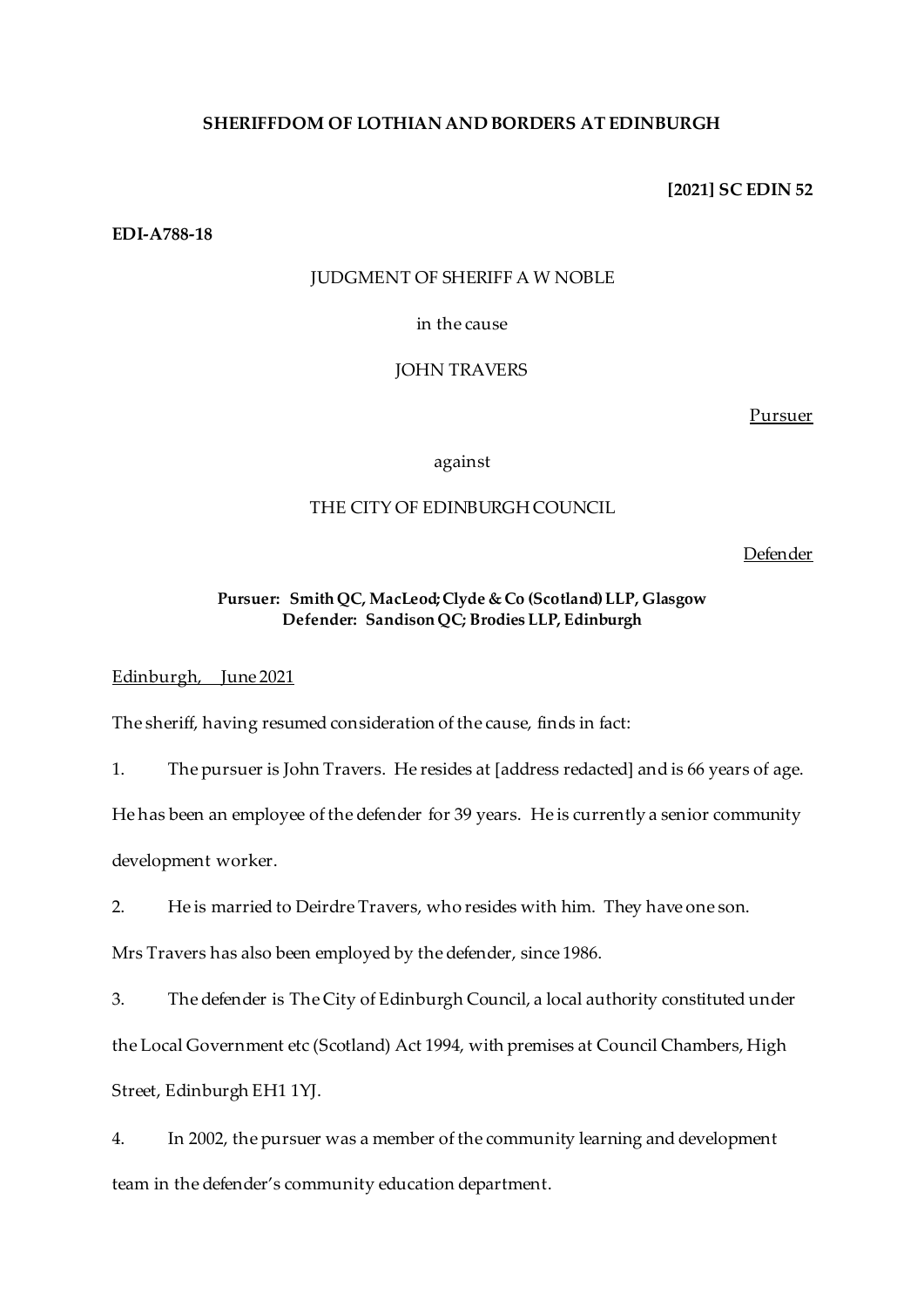## **SHERIFFDOM OF LOTHIAN AND BORDERS AT EDINBURGH**

**[2021] SC EDIN 52**

**EDI-A788-18**

#### JUDGMENT OF SHERIFF A W NOBLE

in the cause

JOHN TRAVERS

Pursuer

against

# THE CITY OF EDINBURGH COUNCIL

Defender

## **Pursuer: Smith QC, MacLeod; Clyde & Co (Scotland) LLP, Glasgow Defender: Sandison QC; Brodies LLP, Edinburgh**

Edinburgh, June 2021

The sheriff, having resumed consideration of the cause, finds in fact:

1. The pursuer is John Travers. He resides at [address redacted] and is 66 years of age.

He has been an employee of the defender for 39 years. He is currently a senior community

development worker.

2. He is married to Deirdre Travers, who resides with him. They have one son.

Mrs Travers has also been employed by the defender, since 1986.

3. The defender is The City of Edinburgh Council, a local authority constituted under the Local Government etc (Scotland) Act 1994, with premises at Council Chambers, High Street, Edinburgh EH1 1YJ.

4. In 2002, the pursuer was a member of the community learning and development team in the defender's community education department.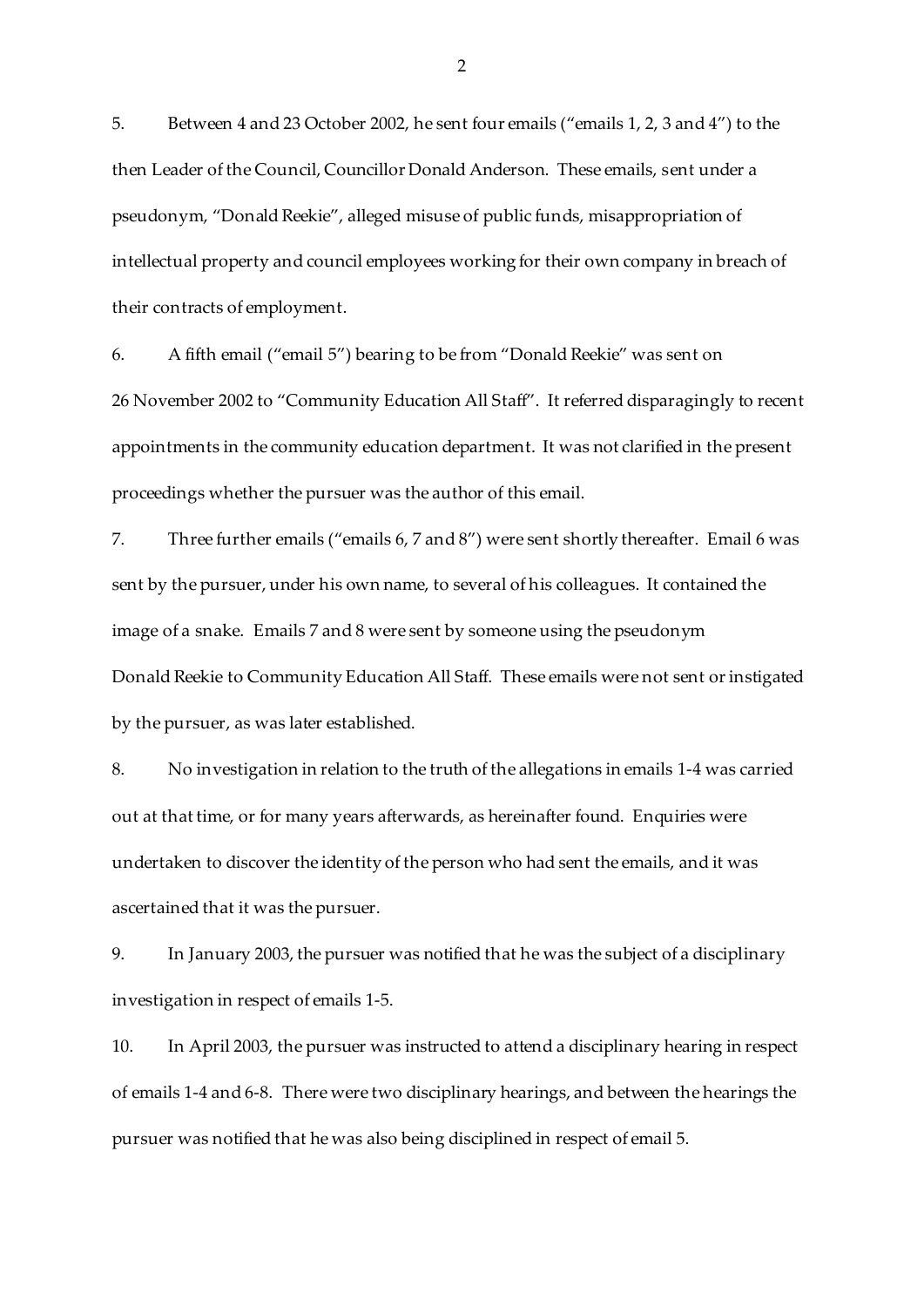5. Between 4 and 23 October 2002, he sent four emails ("emails 1, 2, 3 and 4") to the then Leader of the Council, Councillor Donald Anderson. These emails, sent under a pseudonym, "Donald Reekie", alleged misuse of public funds, misappropriation of intellectual property and council employees working for their own company in breach of their contracts of employment.

6. A fifth email ("email 5") bearing to be from "Donald Reekie" was sent on 26 November 2002 to "Community Education All Staff". It referred disparagingly to recent appointments in the community education department. It was not clarified in the present proceedings whether the pursuer was the author of this email.

7. Three further emails ("emails 6, 7 and 8") were sent shortly thereafter. Email 6 was sent by the pursuer, under his own name, to several of his colleagues. It contained the image of a snake. Emails 7 and 8 were sent by someone using the pseudonym Donald Reekie to Community Education All Staff. These emails were not sent or instigated by the pursuer, as was later established.

8. No investigation in relation to the truth of the allegations in emails 1-4 was carried out at that time, or for many years afterwards, as hereinafter found. Enquiries were undertaken to discover the identity of the person who had sent the emails, and it was ascertained that it was the pursuer.

9. In January 2003, the pursuer was notified that he was the subject of a disciplinary investigation in respect of emails 1-5.

10. In April 2003, the pursuer was instructed to attend a disciplinary hearing in respect of emails 1-4 and 6-8. There were two disciplinary hearings, and between the hearings the pursuer was notified that he was also being disciplined in respect of email 5.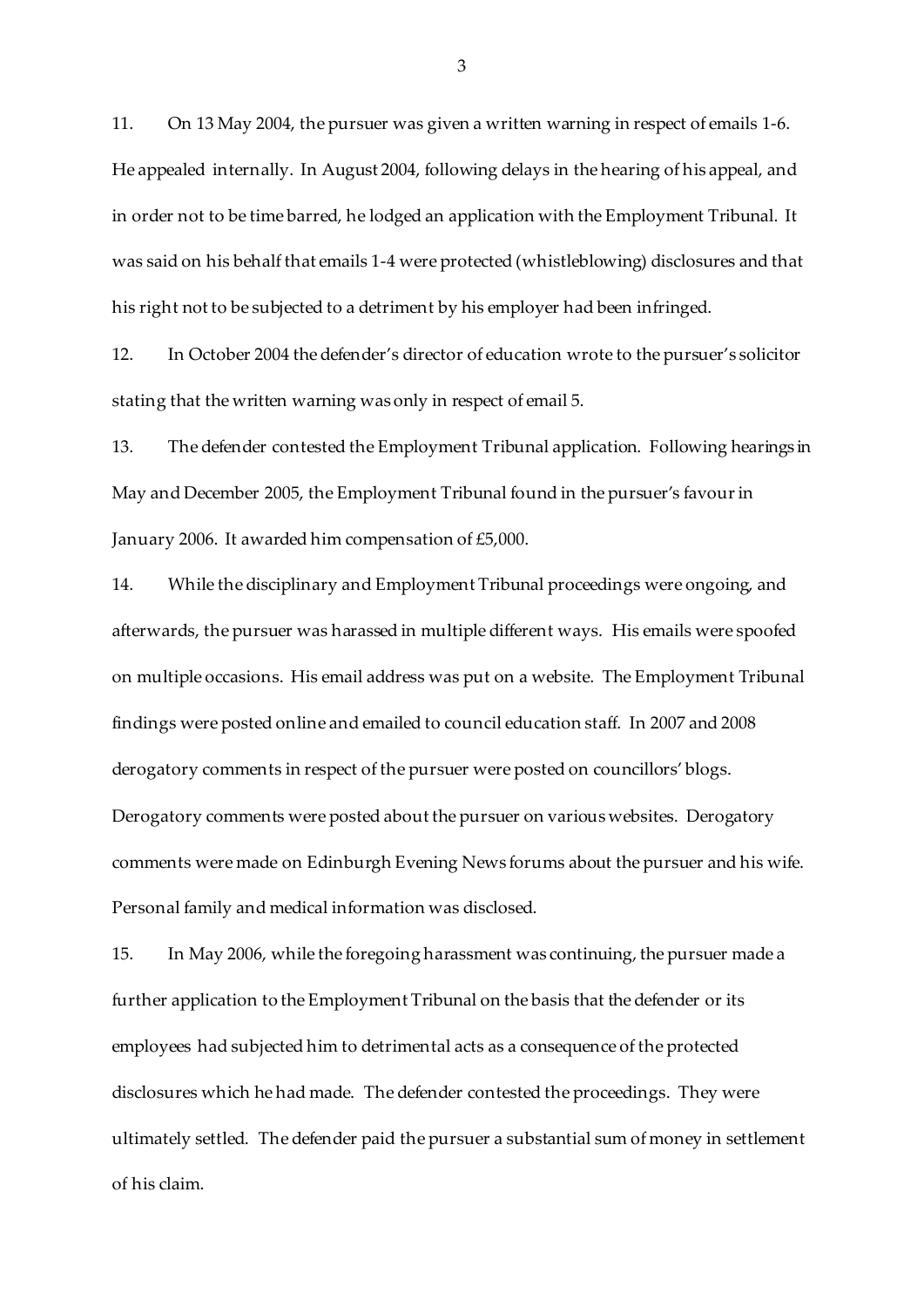11. On 13 May 2004, the pursuer was given a written warning in respect of emails 1-6. He appealed internally. In August 2004, following delays in the hearing of his appeal, and in order not to be time barred, he lodged an application with the Employment Tribunal. It was said on his behalf that emails 1-4 were protected (whistleblowing) disclosures and that his right not to be subjected to a detriment by his employer had been infringed.

12. In October 2004 the defender's director of education wrote to the pursuer's solicitor stating that the written warning was only in respect of email 5.

13. The defender contested the Employment Tribunal application. Following hearings in May and December 2005, the Employment Tribunal found in the pursuer's favour in January 2006. It awarded him compensation of £5,000.

14. While the disciplinary and Employment Tribunal proceedings were ongoing, and afterwards, the pursuer was harassed in multiple different ways. His emails were spoofed on multiple occasions. His email address was put on a website. The Employment Tribunal findings were posted online and emailed to council education staff. In 2007 and 2008 derogatory comments in respect of the pursuer were posted on councillors' blogs. Derogatory comments were posted about the pursuer on various websites. Derogatory comments were made on Edinburgh Evening News forums about the pursuer and his wife. Personal family and medical information was disclosed.

15. In May 2006, while the foregoing harassment was continuing, the pursuer made a further application to the Employment Tribunal on the basis that the defender or its employees had subjected him to detrimental acts as a consequence of the protected disclosures which he had made. The defender contested the proceedings. They were ultimately settled. The defender paid the pursuer a substantial sum of money in settlement of his claim.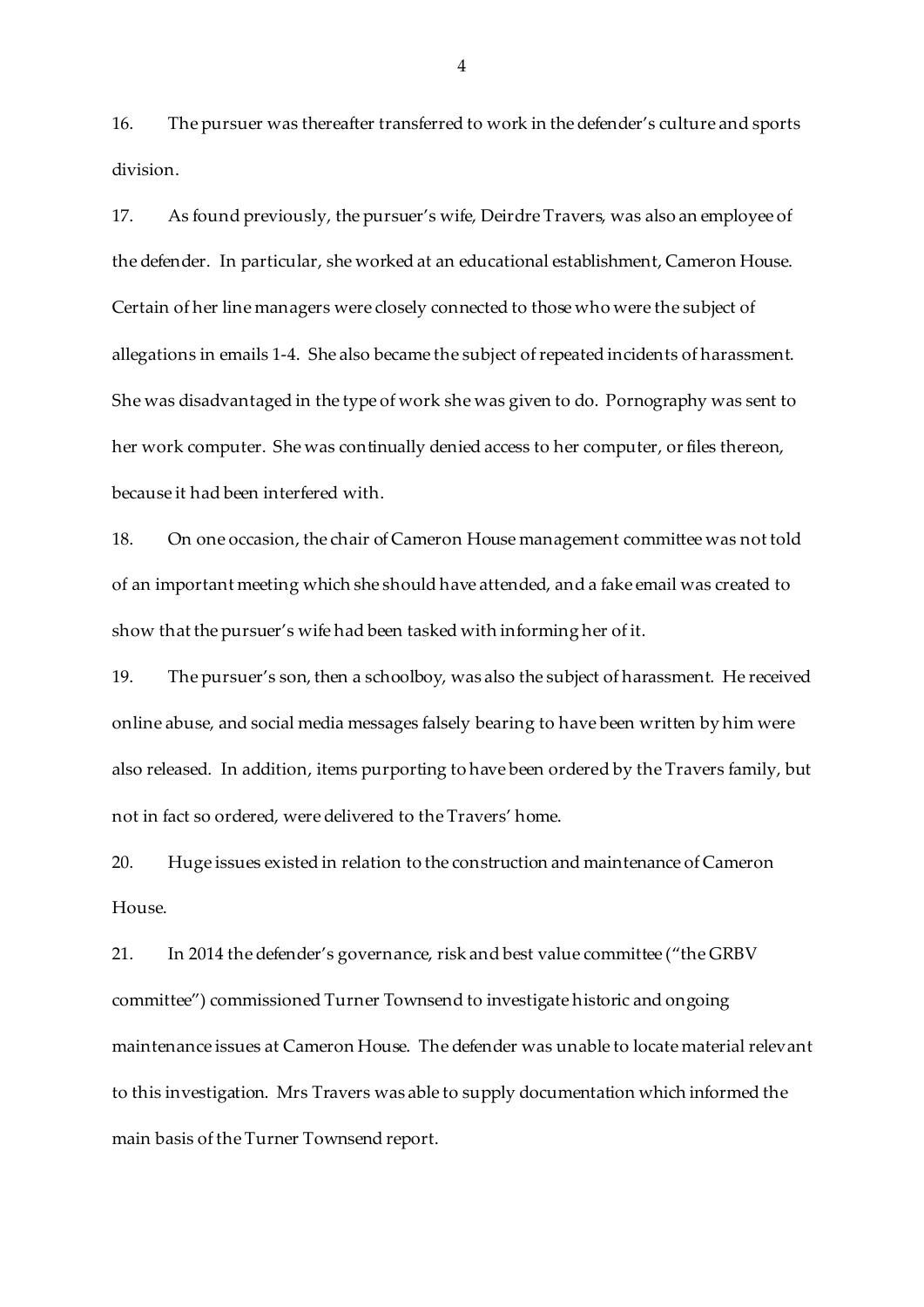16. The pursuer was thereafter transferred to work in the defender's culture and sports division.

17. As found previously, the pursuer's wife, Deirdre Travers, was also an employee of the defender. In particular, she worked at an educational establishment, Cameron House. Certain of her line managers were closely connected to those who were the subject of allegations in emails 1-4. She also became the subject of repeated incidents of harassment. She was disadvantaged in the type of work she was given to do. Pornography was sent to her work computer. She was continually denied access to her computer, or files thereon, because it had been interfered with.

18. On one occasion, the chair of Cameron House management committee was not told of an important meeting which she should have attended, and a fake email was created to show that the pursuer's wife had been tasked with informing her of it.

19. The pursuer's son, then a schoolboy, was also the subject of harassment. He received online abuse, and social media messages falsely bearing to have been written by him were also released. In addition, items purporting to have been ordered by the Travers family, but not in fact so ordered, were delivered to the Travers' home.

20. Huge issues existed in relation to the construction and maintenance of Cameron House.

21. In 2014 the defender's governance, risk and best value committee ("the GRBV committee") commissioned Turner Townsend to investigate historic and ongoing maintenance issues at Cameron House. The defender was unable to locate material relevant to this investigation. Mrs Travers was able to supply documentation which informed the main basis of the Turner Townsend report.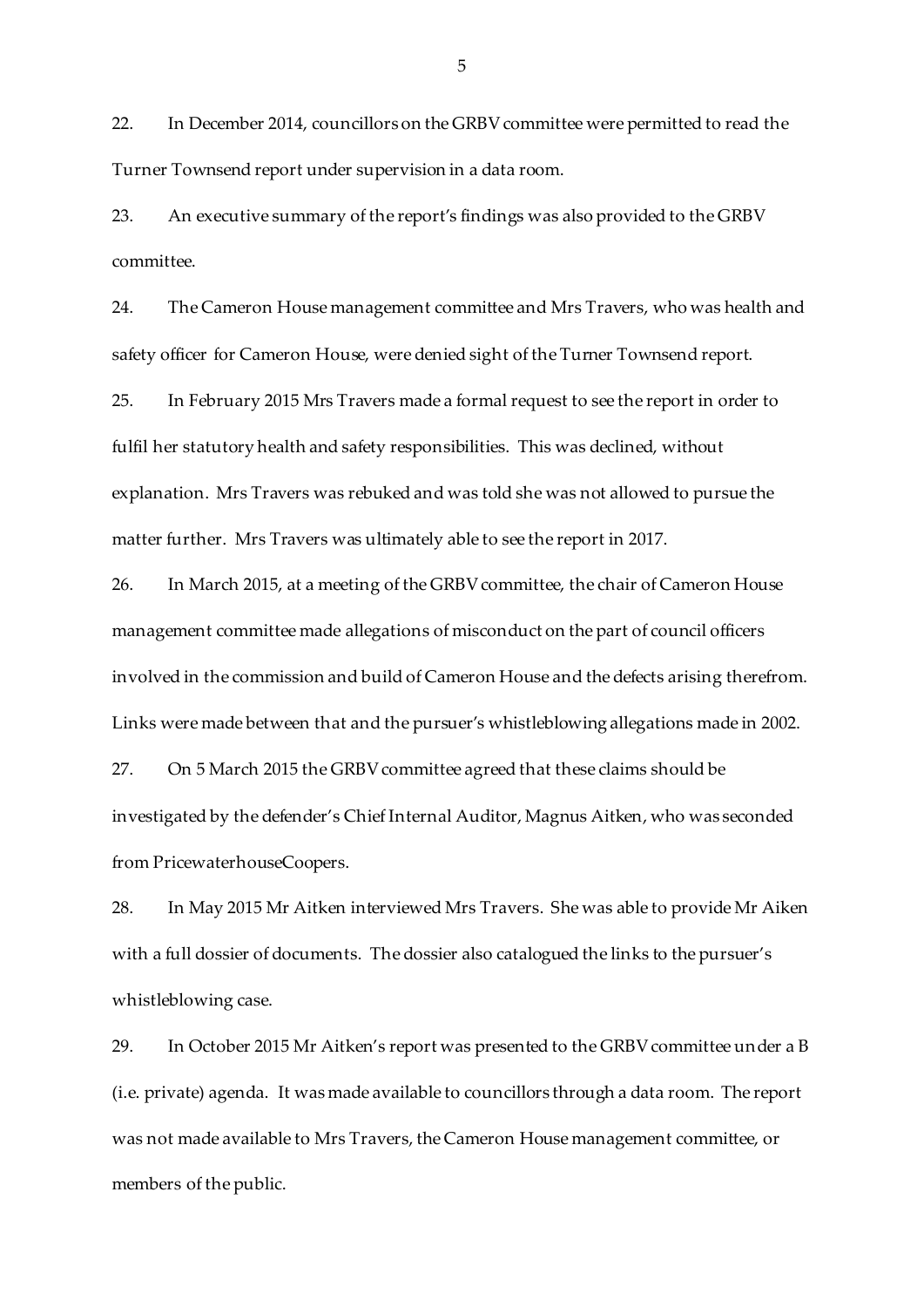22. In December 2014, councillors on the GRBV committee were permitted to read the Turner Townsend report under supervision in a data room.

23. An executive summary of the report's findings was also provided to the GRBV committee.

24. The Cameron House management committee and Mrs Travers, who was health and safety officer for Cameron House, were denied sight of the Turner Townsend report.

25. In February 2015 Mrs Travers made a formal request to see the report in order to fulfil her statutory health and safety responsibilities. This was declined, without explanation. Mrs Travers was rebuked and was told she was not allowed to pursue the matter further. Mrs Travers was ultimately able to see the report in 2017.

26. In March 2015, at a meeting of the GRBV committee, the chair of Cameron House management committee made allegations of misconduct on the part of council officers involved in the commission and build of Cameron House and the defects arising therefrom. Links were made between that and the pursuer's whistleblowing allegations made in 2002.

27. On 5 March 2015 the GRBV committee agreed that these claims should be investigated by the defender's Chief Internal Auditor, Magnus Aitken, who was seconded from PricewaterhouseCoopers.

28. In May 2015 Mr Aitken interviewed Mrs Travers. She was able to provide Mr Aiken with a full dossier of documents. The dossier also catalogued the links to the pursuer's whistleblowing case.

29. In October 2015 Mr Aitken's report was presented to the GRBV committee under a B (i.e. private) agenda. It was made available to councillors through a data room. The report was not made available to Mrs Travers, the Cameron House management committee, or members of the public.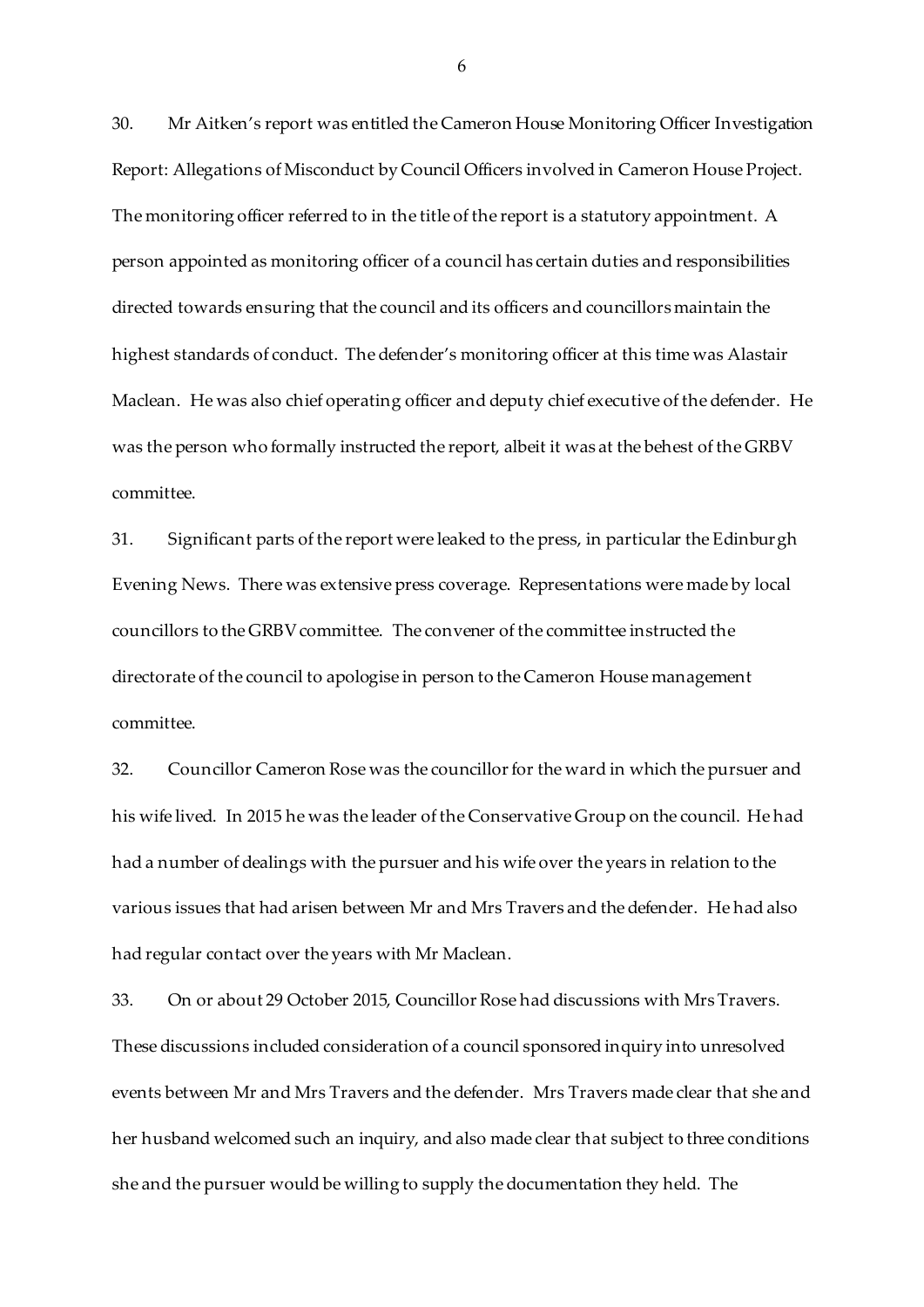30. Mr Aitken's report was entitled the Cameron House Monitoring Officer Investigation Report: Allegations of Misconduct by Council Officers involved in Cameron House Project. The monitoring officer referred to in the title of the report is a statutory appointment. A person appointed as monitoring officer of a council has certain duties and responsibilities directed towards ensuring that the council and its officers and councillors maintain the highest standards of conduct. The defender's monitoring officer at this time was Alastair Maclean. He was also chief operating officer and deputy chief executive of the defender. He was the person who formally instructed the report, albeit it was at the behest of the GRBV committee.

31. Significant parts of the report were leaked to the press, in particular the Edinburgh Evening News. There was extensive press coverage. Representations were made by local councillors to the GRBV committee. The convener of the committee instructed the directorate of the council to apologise in person to the Cameron House management committee.

32. Councillor Cameron Rose was the councillor for the ward in which the pursuer and his wife lived. In 2015 he was the leader of the Conservative Group on the council. He had had a number of dealings with the pursuer and his wife over the years in relation to the various issues that had arisen between Mr and Mrs Travers and the defender. He had also had regular contact over the years with Mr Maclean.

33. On or about 29 October 2015, Councillor Rose had discussions with MrsTravers. These discussions included consideration of a council sponsored inquiry into unresolved events between Mr and Mrs Travers and the defender. Mrs Travers made clear that she and her husband welcomed such an inquiry, and also made clear that subject to three conditions she and the pursuer would be willing to supply the documentation they held. The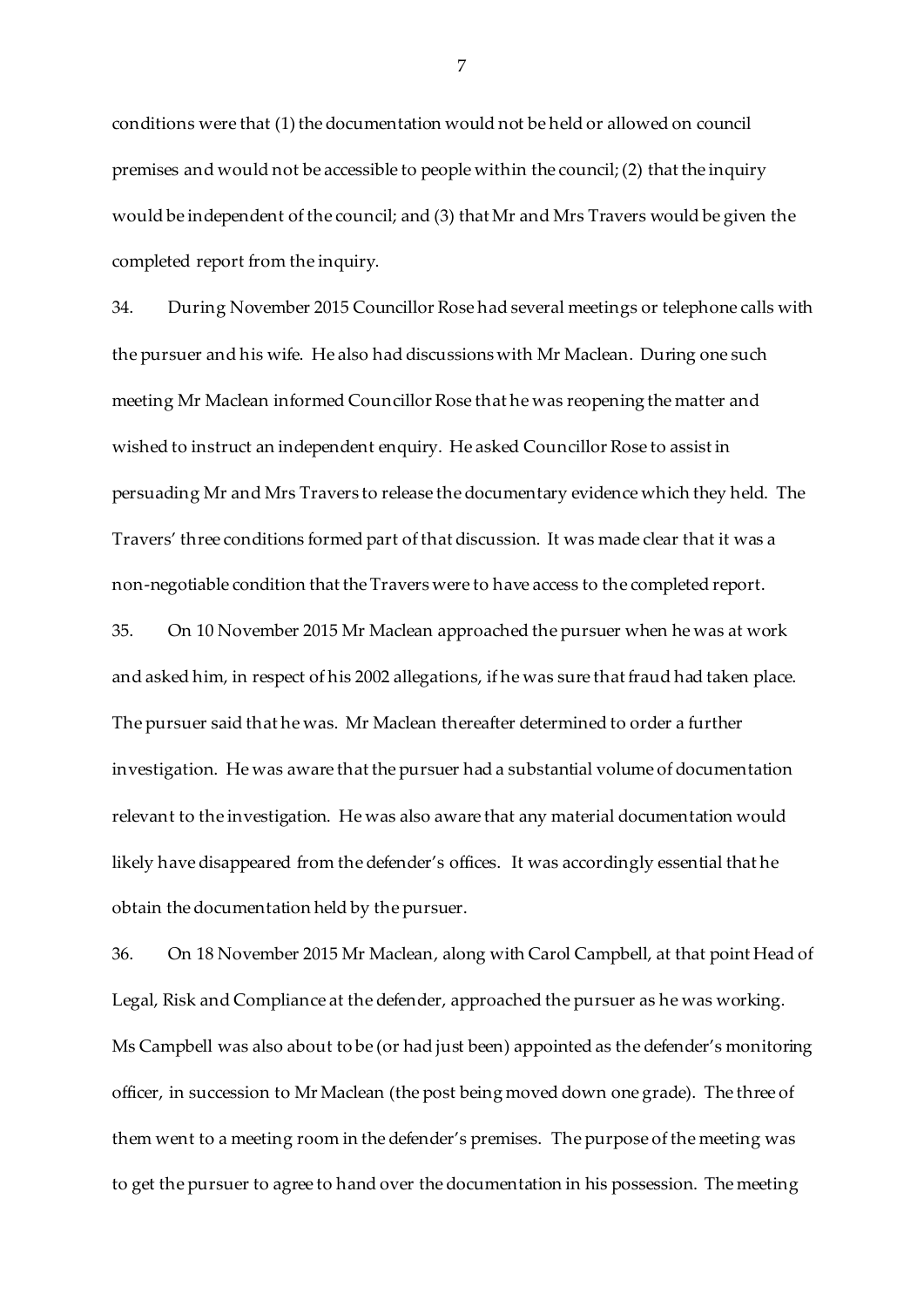conditions were that (1) the documentation would not be held or allowed on council premises and would not be accessible to people within the council; (2) that the inquiry would be independent of the council; and (3) that Mr and Mrs Travers would be given the completed report from the inquiry.

34. During November 2015 Councillor Rose had several meetings or telephone calls with the pursuer and his wife. He also had discussions with Mr Maclean. During one such meeting Mr Maclean informed Councillor Rose that he was reopening the matter and wished to instruct an independent enquiry. He asked Councillor Rose to assist in persuading Mr and Mrs Travers to release the documentary evidence which they held. The Travers' three conditions formed part of that discussion. It was made clear that it was a non-negotiable condition that the Travers were to have access to the completed report.

35. On 10 November 2015 Mr Maclean approached the pursuer when he was at work and asked him, in respect of his 2002 allegations, if he was sure that fraud had taken place. The pursuer said that he was. Mr Maclean thereafter determined to order a further investigation. He was aware that the pursuer had a substantial volume of documentation relevant to the investigation. He was also aware that any material documentation would likely have disappeared from the defender's offices. It was accordingly essential that he obtain the documentation held by the pursuer.

36. On 18 November 2015 Mr Maclean, along with Carol Campbell, at that point Head of Legal, Risk and Compliance at the defender, approached the pursuer as he was working. Ms Campbell was also about to be (or had just been) appointed as the defender's monitoring officer, in succession to Mr Maclean (the post being moved down one grade). The three of them went to a meeting room in the defender's premises. The purpose of the meeting was to get the pursuer to agree to hand over the documentation in his possession. The meeting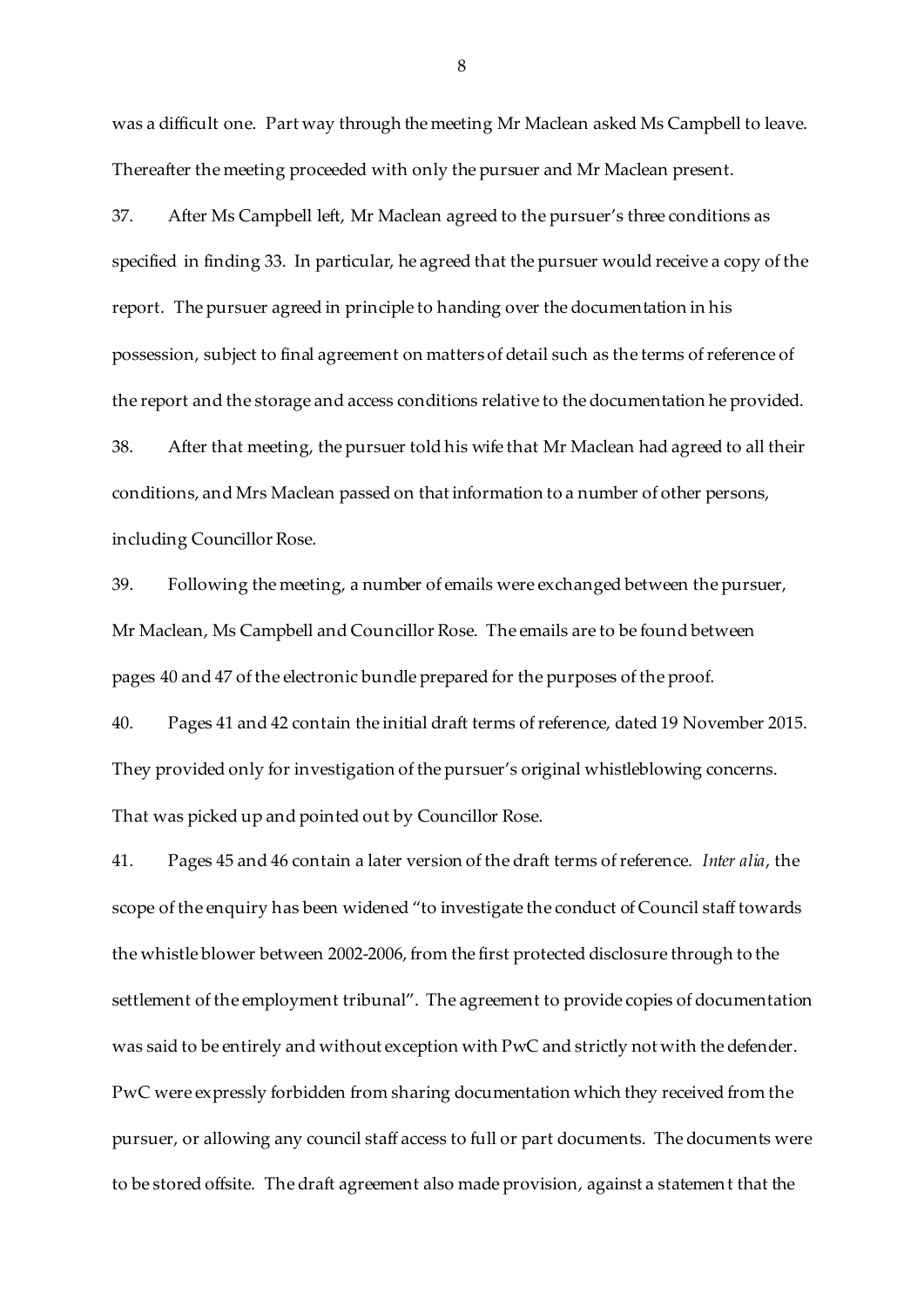was a difficult one. Part way through the meeting Mr Maclean asked Ms Campbell to leave. Thereafter the meeting proceeded with only the pursuer and Mr Maclean present.

37. After Ms Campbell left, Mr Maclean agreed to the pursuer's three conditions as specified in finding 33. In particular, he agreed that the pursuer would receive a copy of the report. The pursuer agreed in principle to handing over the documentation in his possession, subject to final agreement on matters of detail such as the terms of reference of the report and the storage and access conditions relative to the documentation he provided. 38. After that meeting, the pursuer told his wife that Mr Maclean had agreed to all their

conditions, and Mrs Maclean passed on that information to a number of other persons, including Councillor Rose.

39. Following the meeting, a number of emails were exchanged between the pursuer, Mr Maclean, Ms Campbell and Councillor Rose. The emails are to be found between pages 40 and 47 of the electronic bundle prepared for the purposes of the proof.

40. Pages 41 and 42 contain the initial draft terms of reference, dated 19 November 2015. They provided only for investigation of the pursuer's original whistleblowing concerns. That was picked up and pointed out by Councillor Rose.

41. Pages 45 and 46 contain a later version of the draft terms of reference. *Inter alia*, the scope of the enquiry has been widened "to investigate the conduct of Council staff towards the whistle blower between 2002-2006, from the first protected disclosure through to the settlement of the employment tribunal". The agreement to provide copies of documentation was said to be entirely and without exception with PwC and strictly not with the defender. PwC were expressly forbidden from sharing documentation which they received from the pursuer, or allowing any council staff access to full or part documents. The documents were to be stored offsite. The draft agreement also made provision, against a statement that the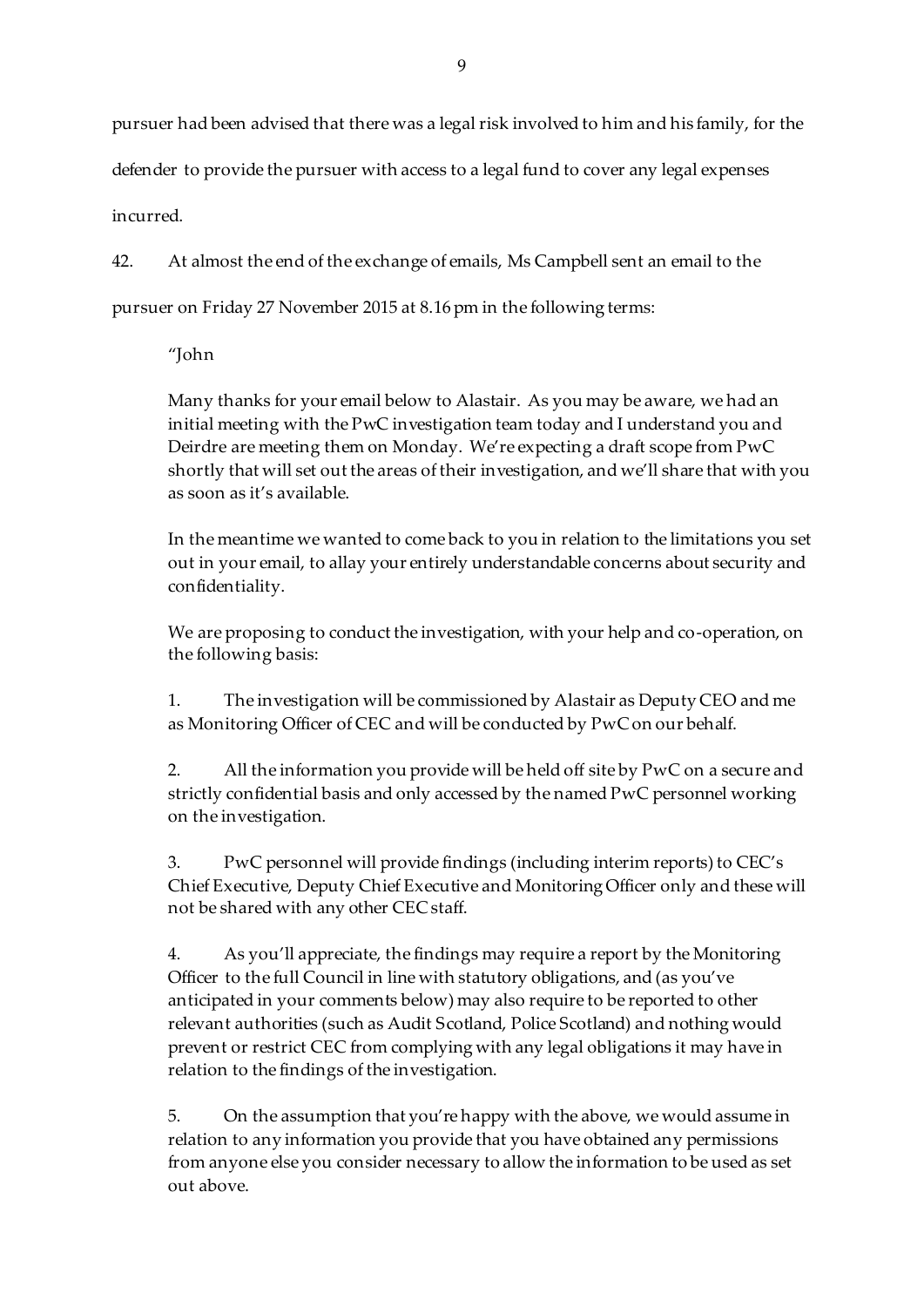pursuer had been advised that there was a legal risk involved to him and his family, for the defender to provide the pursuer with access to a legal fund to cover any legal expenses incurred.

42. At almost the end of the exchange of emails, Ms Campbell sent an email to the pursuer on Friday 27 November 2015 at 8.16 pm in the following terms:

"John

Many thanks for your email below to Alastair. As you may be aware, we had an initial meeting with the PwC investigation team today and I understand you and Deirdre are meeting them on Monday. We're expecting a draft scope from PwC shortly that will set out the areas of their investigation, and we'll share that with you as soon as it's available.

In the meantime we wanted to come back to you in relation to the limitations you set out in your email, to allay your entirely understandable concerns about security and confidentiality.

We are proposing to conduct the investigation, with your help and co-operation, on the following basis:

1. The investigation will be commissioned by Alastair as Deputy CEO and me as Monitoring Officer of CEC and will be conducted by PwC on our behalf.

2. All the information you provide will be held off site by PwC on a secure and strictly confidential basis and only accessed by the named PwC personnel working on the investigation.

3. PwC personnel will provide findings (including interim reports) to CEC's Chief Executive, Deputy Chief Executive and Monitoring Officer only and these will not be shared with any other CEC staff.

4. As you'll appreciate, the findings may require a report by the Monitoring Officer to the full Council in line with statutory obligations, and (as you've anticipated in your comments below) may also require to be reported to other relevant authorities (such as Audit Scotland, Police Scotland) and nothing would prevent or restrict CEC from complying with any legal obligations it may have in relation to the findings of the investigation.

5. On the assumption that you're happy with the above, we would assume in relation to any information you provide that you have obtained any permissions from anyone else you consider necessary to allow the information to be used as set out above.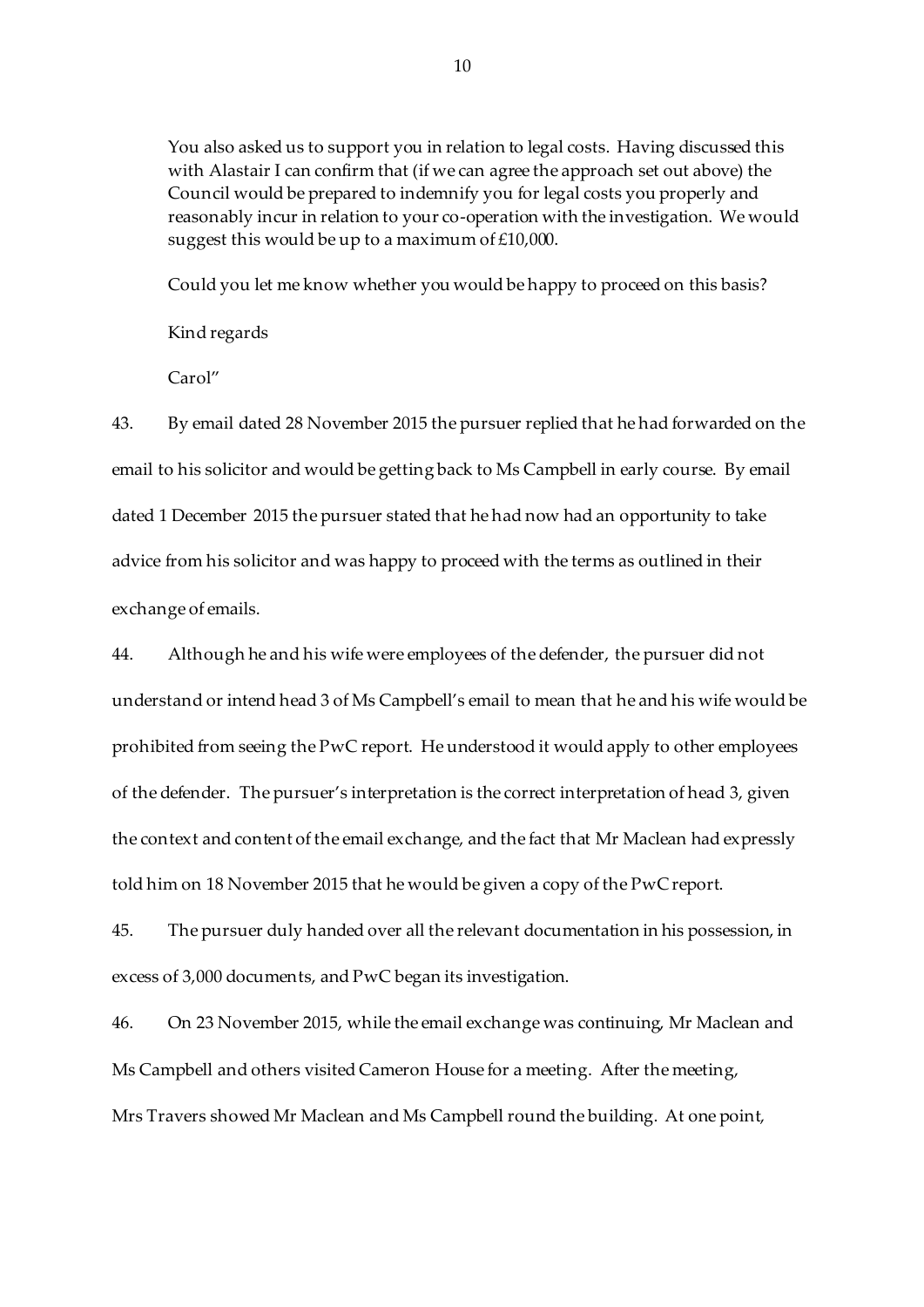You also asked us to support you in relation to legal costs. Having discussed this with Alastair I can confirm that (if we can agree the approach set out above) the Council would be prepared to indemnify you for legal costs you properly and reasonably incur in relation to your co-operation with the investigation. We would suggest this would be up to a maximum of £10,000.

Could you let me know whether you would be happy to proceed on this basis?

Kind regards

Carol"

43. By email dated 28 November 2015 the pursuer replied that he had forwarded on the email to his solicitor and would be getting back to Ms Campbell in early course. By email dated 1 December 2015 the pursuer stated that he had now had an opportunity to take advice from his solicitor and was happy to proceed with the terms as outlined in their exchange of emails.

44. Although he and his wife were employees of the defender, the pursuer did not understand or intend head 3 of Ms Campbell's email to mean that he and his wife would be prohibited from seeing the PwC report. He understood it would apply to other employees of the defender. The pursuer's interpretation is the correct interpretation of head 3, given the context and content of the email exchange, and the fact that Mr Maclean had expressly told him on 18 November 2015 that he would be given a copy of the PwC report.

45. The pursuer duly handed over all the relevant documentation in his possession, in excess of 3,000 documents, and PwC began its investigation.

46. On 23 November 2015, while the email exchange was continuing, Mr Maclean and Ms Campbell and others visited Cameron House for a meeting. After the meeting, Mrs Travers showed Mr Maclean and Ms Campbell round the building. At one point,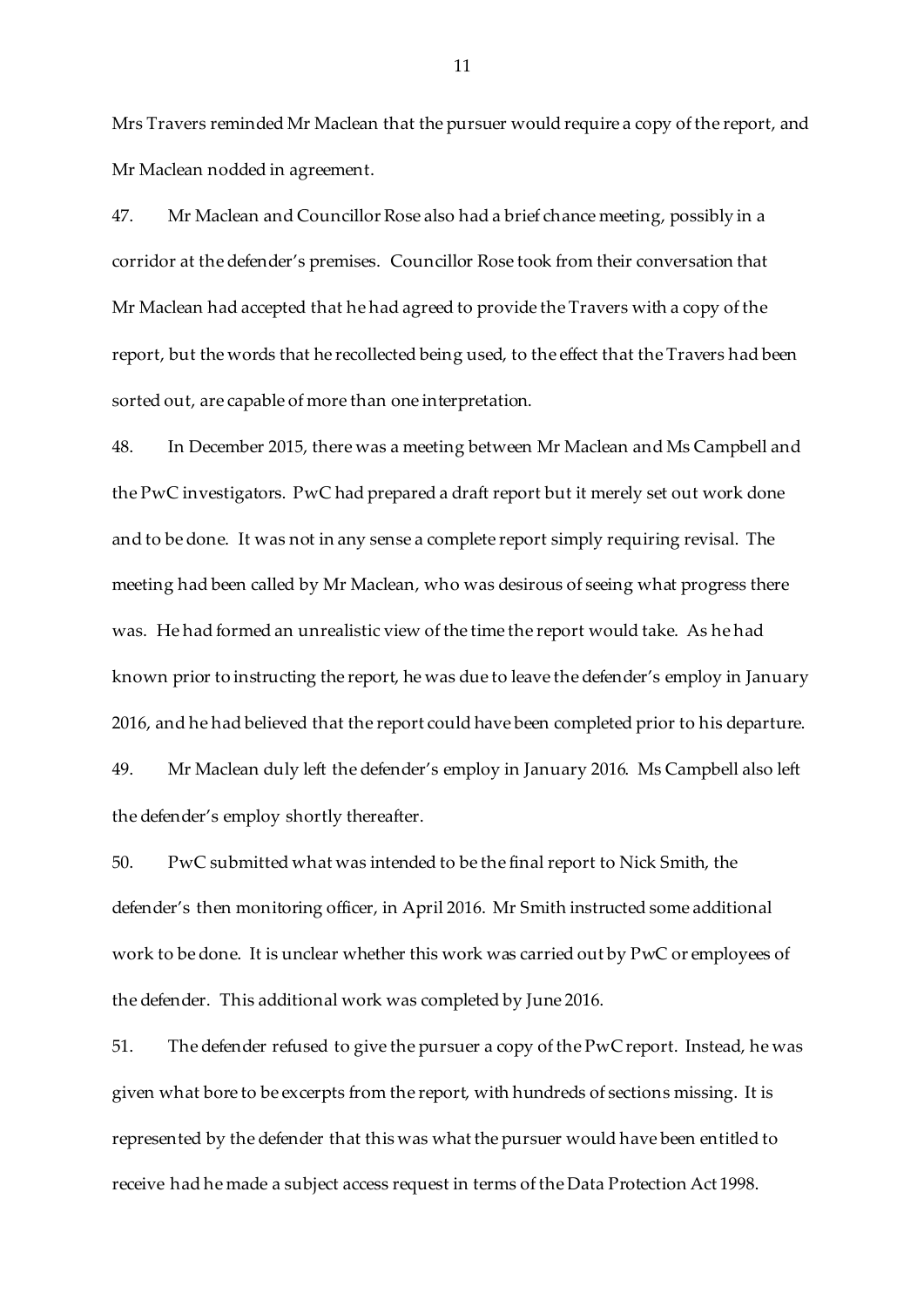Mrs Travers reminded Mr Maclean that the pursuer would require a copy of the report, and Mr Maclean nodded in agreement.

47. Mr Maclean and Councillor Rose also had a brief chance meeting, possibly in a corridor at the defender's premises. Councillor Rose took from their conversation that Mr Maclean had accepted that he had agreed to provide the Travers with a copy of the report, but the words that he recollected being used, to the effect that the Travers had been sorted out, are capable of more than one interpretation.

48. In December 2015, there was a meeting between Mr Maclean and Ms Campbell and the PwC investigators. PwC had prepared a draft report but it merely set out work done and to be done. It was not in any sense a complete report simply requiring revisal. The meeting had been called by Mr Maclean, who was desirous of seeing what progress there was. He had formed an unrealistic view of the time the report would take. As he had known prior to instructing the report, he was due to leave the defender's employ in January 2016, and he had believed that the report could have been completed prior to his departure. 49. Mr Maclean duly left the defender's employ in January 2016. Ms Campbell also left the defender's employ shortly thereafter.

50. PwC submitted what was intended to be the final report to Nick Smith, the defender's then monitoring officer, in April 2016. Mr Smith instructed some additional work to be done. It is unclear whether this work was carried out by PwC or employees of the defender. This additional work was completed by June 2016.

51. The defender refused to give the pursuer a copy of the PwC report. Instead, he was given what bore to be excerpts from the report, with hundreds of sections missing. It is represented by the defender that this was what the pursuer would have been entitled to receive had he made a subject access request in terms of the Data Protection Act 1998.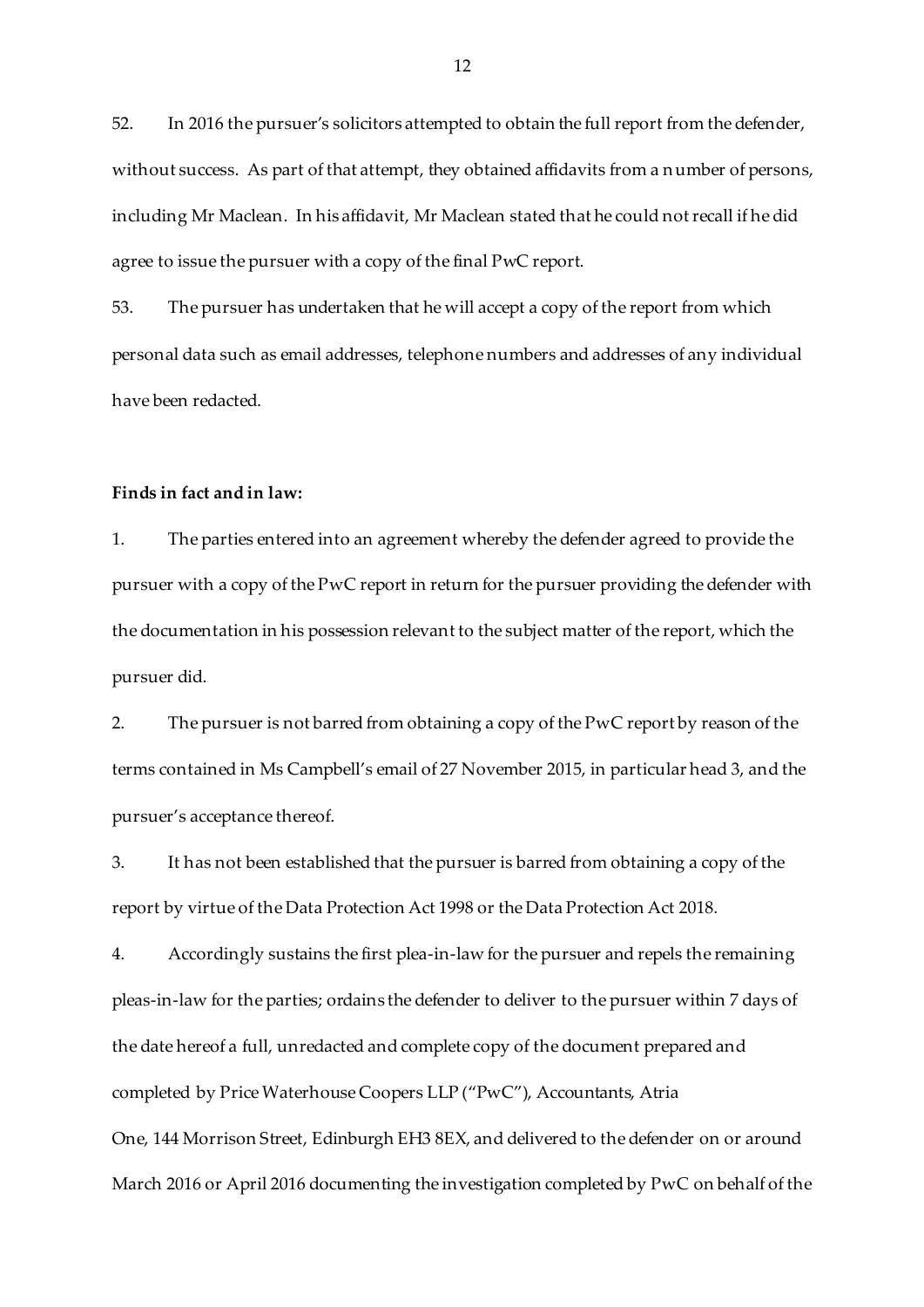52. In 2016 the pursuer's solicitors attempted to obtain the full report from the defender, without success. As part of that attempt, they obtained affidavits from a number of persons, including Mr Maclean. In his affidavit, Mr Maclean stated that he could not recall if he did agree to issue the pursuer with a copy of the final PwC report.

53. The pursuer has undertaken that he will accept a copy of the report from which personal data such as email addresses, telephone numbers and addresses of any individual have been redacted.

### **Finds in fact and in law:**

1. The parties entered into an agreement whereby the defender agreed to provide the pursuer with a copy of the PwC report in return for the pursuer providing the defender with the documentation in his possession relevant to the subject matter of the report, which the pursuer did.

2. The pursuer is not barred from obtaining a copy of the PwC report by reason of the terms contained in Ms Campbell's email of 27 November 2015, in particular head 3, and the pursuer's acceptance thereof.

3. It has not been established that the pursuer is barred from obtaining a copy of the report by virtue of the Data Protection Act 1998 or the Data Protection Act 2018.

4. Accordingly sustains the first plea-in-law for the pursuer and repels the remaining pleas-in-law for the parties; ordains the defender to deliver to the pursuer within 7 days of the date hereof a full, unredacted and complete copy of the document prepared and completed by Price Waterhouse Coopers LLP ("PwC"), Accountants, Atria One, 144 Morrison Street, Edinburgh EH3 8EX, and delivered to the defender on or around March 2016 or April 2016 documenting the investigation completed by PwC on behalf of the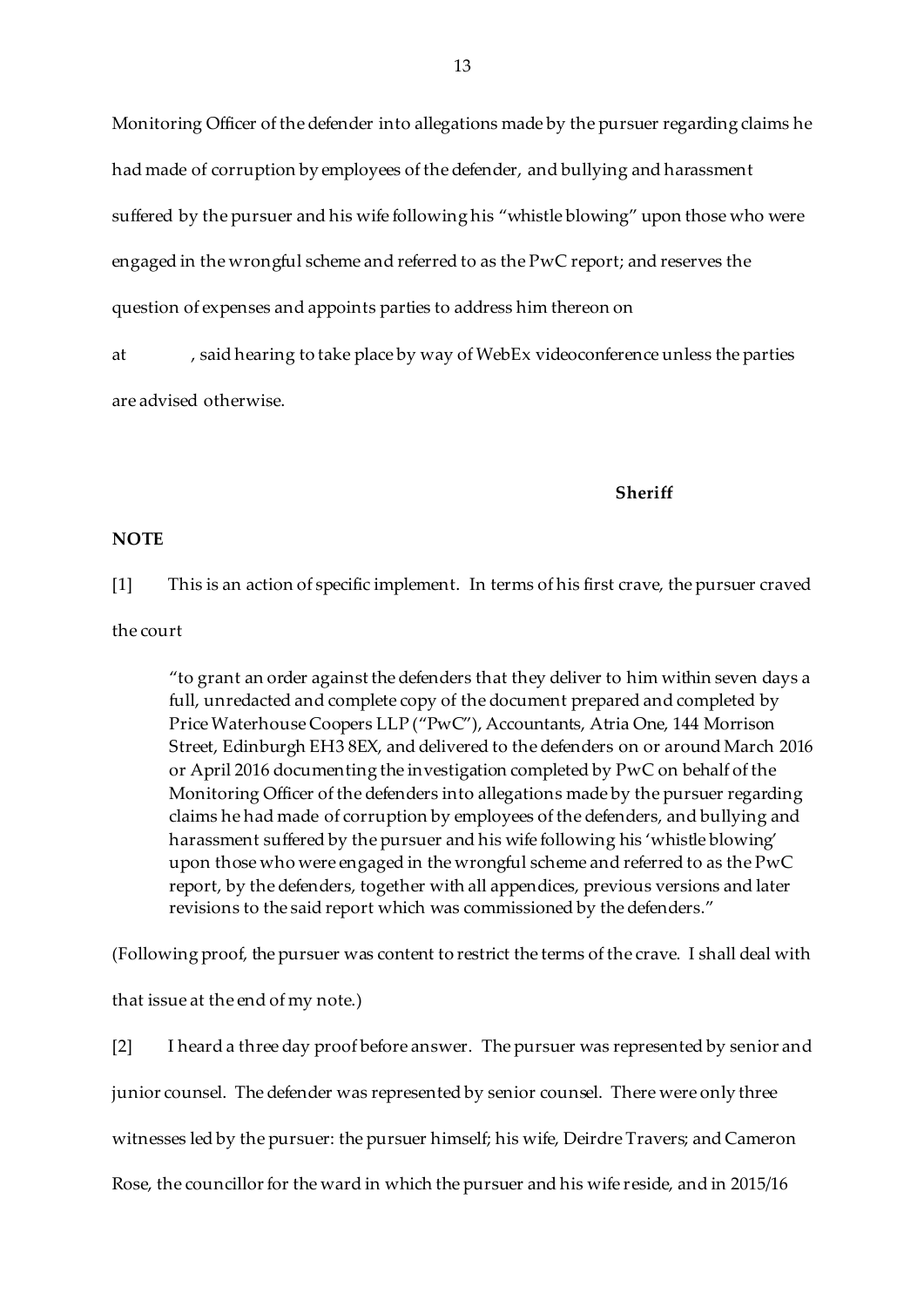Monitoring Officer of the defender into allegations made by the pursuer regarding claims he had made of corruption by employees of the defender, and bullying and harassment suffered by the pursuer and his wife following his "whistle blowing" upon those who were engaged in the wrongful scheme and referred to as the PwC report; and reserves the question of expenses and appoints parties to address him thereon on

at , said hearing to take place by way of WebEx videoconference unless the parties are advised otherwise.

**Sheriff**

#### **NOTE**

[1] This is an action of specific implement. In terms of his first crave, the pursuer craved

#### the court

"to grant an order against the defenders that they deliver to him within seven days a full, unredacted and complete copy of the document prepared and completed by Price Waterhouse Coopers LLP ("PwC"), Accountants, Atria One, 144 Morrison Street, Edinburgh EH3 8EX, and delivered to the defenders on or around March 2016 or April 2016 documenting the investigation completed by PwC on behalf of the Monitoring Officer of the defenders into allegations made by the pursuer regarding claims he had made of corruption by employees of the defenders, and bullying and harassment suffered by the pursuer and his wife following his 'whistle blowing' upon those who were engaged in the wrongful scheme and referred to as the PwC report, by the defenders, together with all appendices, previous versions and later revisions to the said report which was commissioned by the defenders."

(Following proof, the pursuer was content to restrict the terms of the crave. I shall deal with that issue at the end of my note.)

[2] I heard a three day proof before answer. The pursuer was represented by senior and junior counsel. The defender was represented by senior counsel. There were only three witnesses led by the pursuer: the pursuer himself; his wife, Deirdre Travers; and Cameron Rose, the councillor for the ward in which the pursuer and his wife reside, and in 2015/16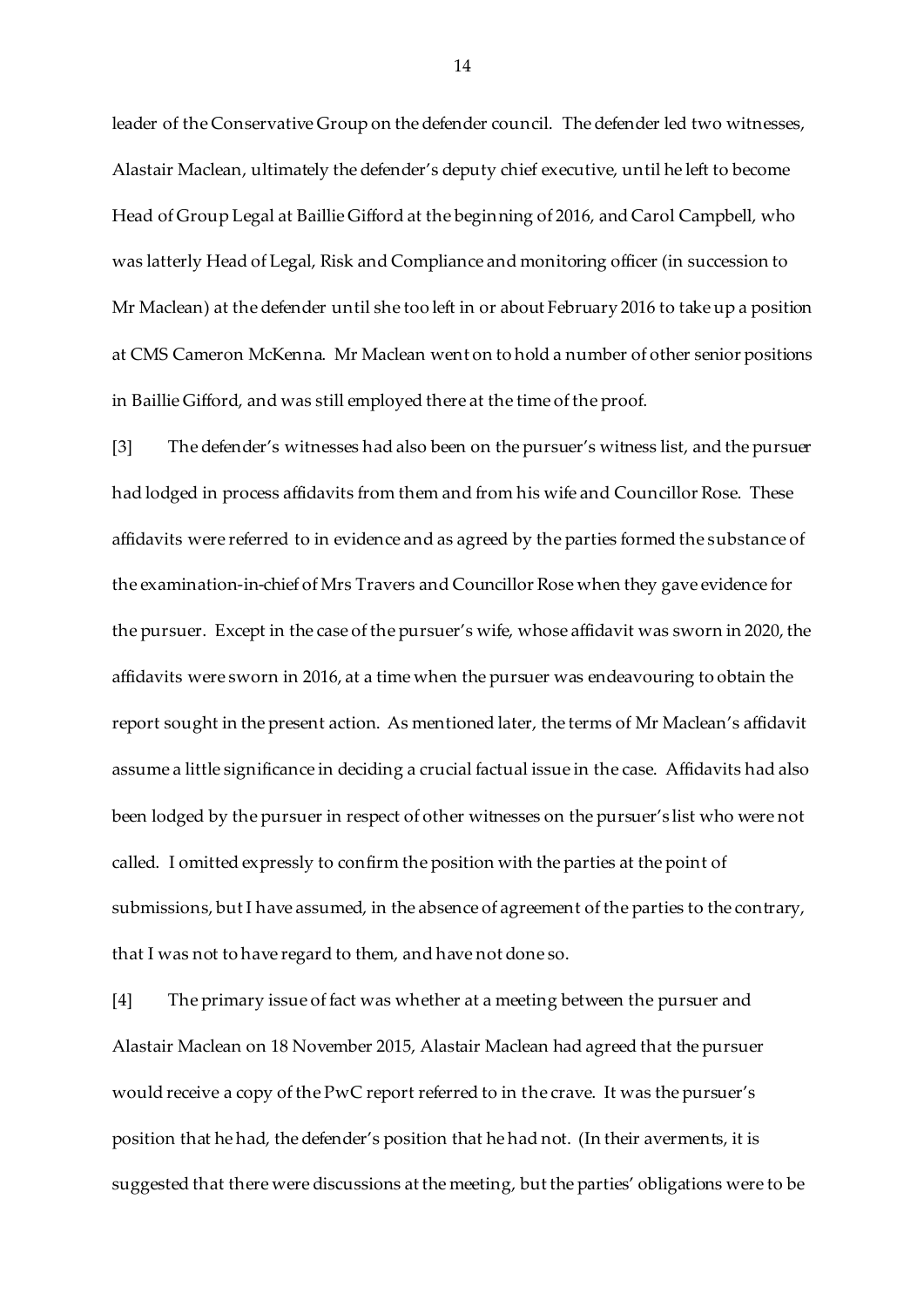leader of the Conservative Group on the defender council. The defender led two witnesses, Alastair Maclean, ultimately the defender's deputy chief executive, until he left to become Head of Group Legal at Baillie Gifford at the beginning of 2016, and Carol Campbell, who was latterly Head of Legal, Risk and Compliance and monitoring officer (in succession to Mr Maclean) at the defender until she too left in or about February 2016 to take up a position at CMS Cameron McKenna. Mr Maclean went on to hold a number of other senior positions in Baillie Gifford, and was still employed there at the time of the proof.

[3] The defender's witnesses had also been on the pursuer's witness list, and the pursuer had lodged in process affidavits from them and from his wife and Councillor Rose. These affidavits were referred to in evidence and as agreed by the parties formed the substance of the examination-in-chief of Mrs Travers and Councillor Rose when they gave evidence for the pursuer. Except in the case of the pursuer's wife, whose affidavit was sworn in 2020, the affidavits were sworn in 2016, at a time when the pursuer was endeavouring to obtain the report sought in the present action. As mentioned later, the terms of Mr Maclean's affidavit assume a little significance in deciding a crucial factual issue in the case. Affidavits had also been lodged by the pursuer in respect of other witnesses on the pursuer's list who were not called. I omitted expressly to confirm the position with the parties at the point of submissions, but I have assumed, in the absence of agreement of the parties to the contrary, that I was not to have regard to them, and have not done so.

[4] The primary issue of fact was whether at a meeting between the pursuer and Alastair Maclean on 18 November 2015, Alastair Maclean had agreed that the pursuer would receive a copy of the PwC report referred to in the crave. It was the pursuer's position that he had, the defender's position that he had not. (In their averments, it is suggested that there were discussions at the meeting, but the parties' obligations were to be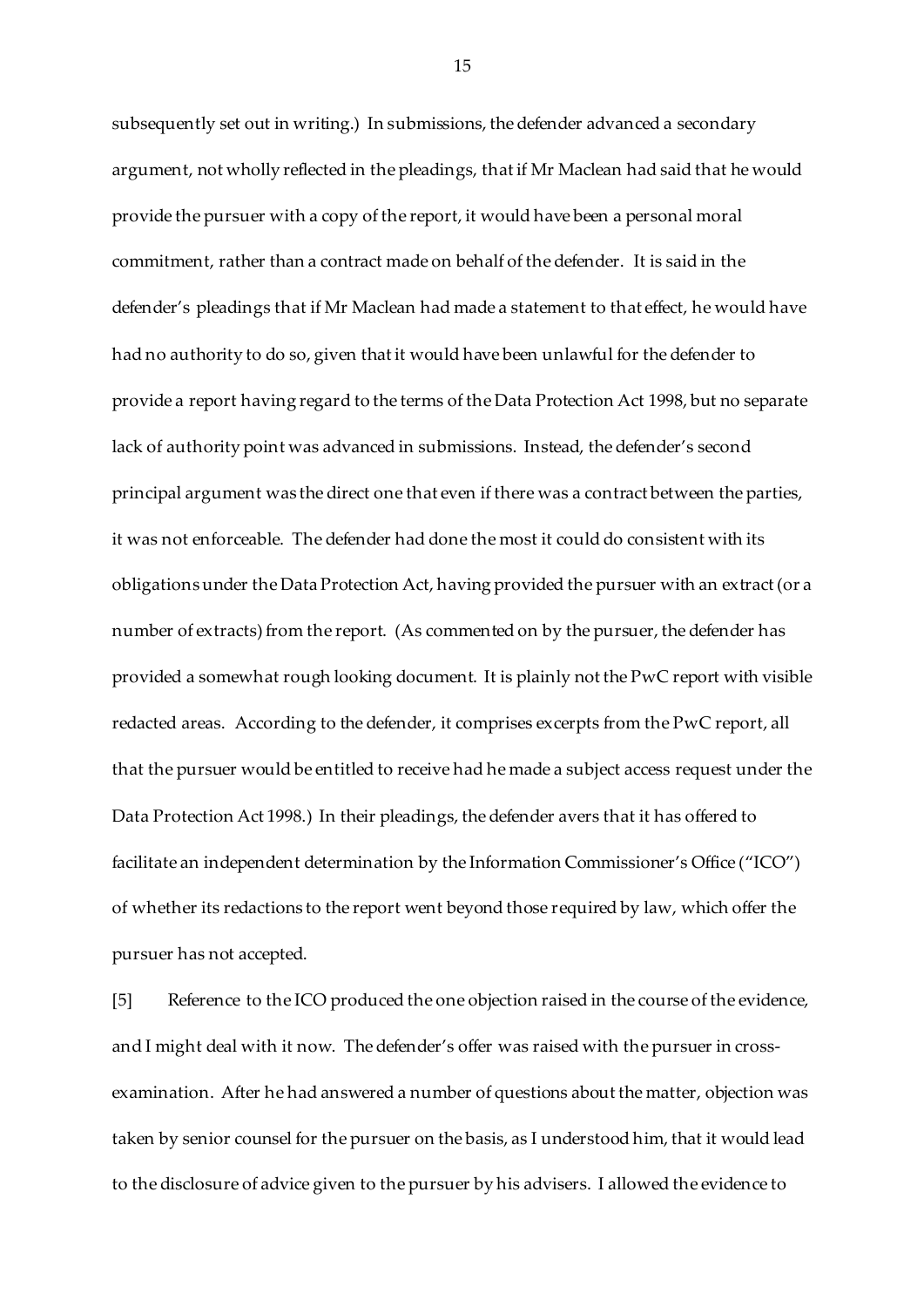subsequently set out in writing.) In submissions, the defender advanced a secondary argument, not wholly reflected in the pleadings, that if Mr Maclean had said that he would provide the pursuer with a copy of the report, it would have been a personal moral commitment, rather than a contract made on behalf of the defender. It is said in the defender's pleadings that if Mr Maclean had made a statement to that effect, he would have had no authority to do so, given that it would have been unlawful for the defender to provide a report having regard to the terms of the Data Protection Act 1998, but no separate lack of authority point was advanced in submissions. Instead, the defender's second principal argument was the direct one that even if there was a contract between the parties, it was not enforceable. The defender had done the most it could do consistent with its obligations under the Data Protection Act, having provided the pursuer with an extract (or a number of extracts) from the report. (As commented on by the pursuer, the defender has provided a somewhat rough looking document. It is plainly not the PwC report with visible redacted areas. According to the defender, it comprises excerpts from the PwC report, all that the pursuer would be entitled to receive had he made a subject access request under the Data Protection Act 1998.) In their pleadings, the defender avers that it has offered to facilitate an independent determination by the Information Commissioner's Office ("ICO") of whether its redactions to the report went beyond those required by law, which offer the pursuer has not accepted.

[5] Reference to the ICO produced the one objection raised in the course of the evidence, and I might deal with it now. The defender's offer was raised with the pursuer in crossexamination. After he had answered a number of questions about the matter, objection was taken by senior counsel for the pursuer on the basis, as I understood him, that it would lead to the disclosure of advice given to the pursuer by his advisers. I allowed the evidence to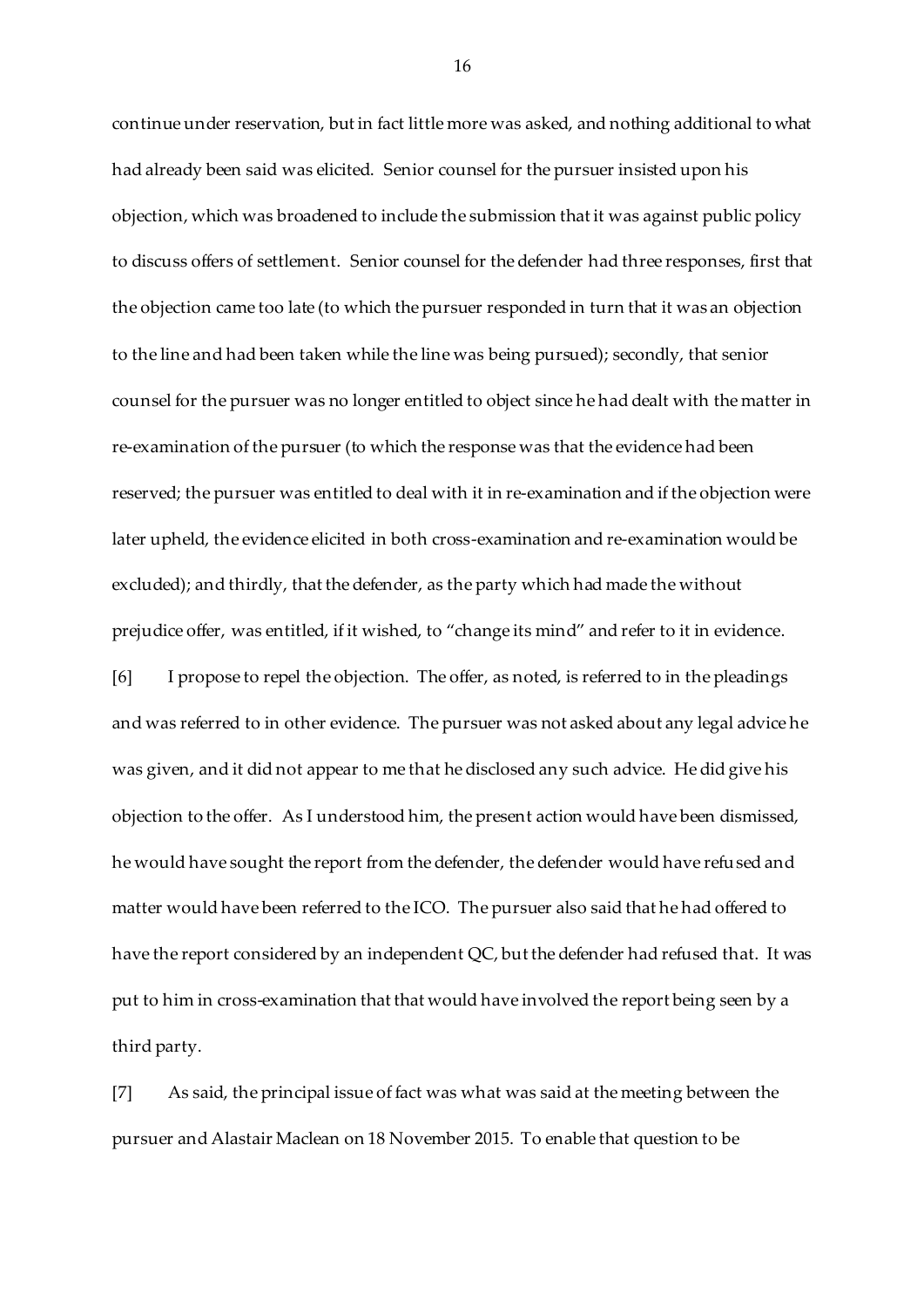continue under reservation, but in fact little more was asked, and nothing additional to what had already been said was elicited. Senior counsel for the pursuer insisted upon his objection, which was broadened to include the submission that it was against public policy to discuss offers of settlement. Senior counsel for the defender had three responses, first that the objection came too late (to which the pursuer responded in turn that it was an objection to the line and had been taken while the line was being pursued); secondly, that senior counsel for the pursuer was no longer entitled to object since he had dealt with the matter in re-examination of the pursuer (to which the response was that the evidence had been reserved; the pursuer was entitled to deal with it in re-examination and if the objection were later upheld, the evidence elicited in both cross-examination and re-examination would be excluded); and thirdly, that the defender, as the party which had made the without prejudice offer, was entitled, if it wished, to "change its mind" and refer to it in evidence. [6] I propose to repel the objection. The offer, as noted, is referred to in the pleadings and was referred to in other evidence. The pursuer was not asked about any legal advice he was given, and it did not appear to me that he disclosed any such advice. He did give his objection to the offer. As I understood him, the present action would have been dismissed, he would have sought the report from the defender, the defender would have refused and matter would have been referred to the ICO. The pursuer also said that he had offered to have the report considered by an independent QC, but the defender had refused that. It was put to him in cross-examination that that would have involved the report being seen by a third party.

[7] As said, the principal issue of fact was what was said at the meeting between the pursuer and Alastair Maclean on 18 November 2015. To enable that question to be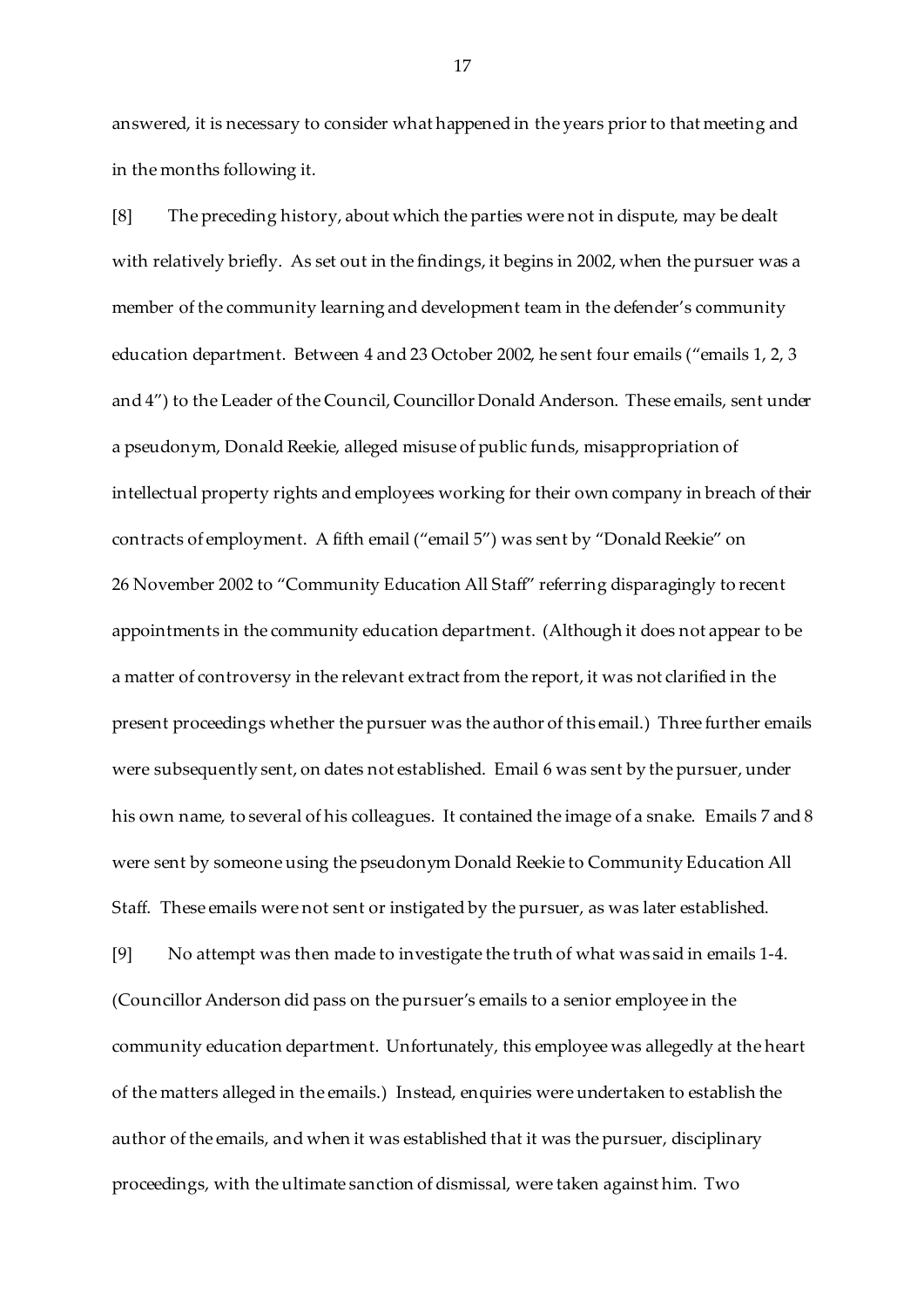answered, it is necessary to consider what happened in the years prior to that meeting and in the months following it.

[8] The preceding history, about which the parties were not in dispute, may be dealt with relatively briefly. As set out in the findings, it begins in 2002, when the pursuer was a member of the community learning and development team in the defender's community education department. Between 4 and 23 October 2002, he sent four emails ("emails 1, 2, 3 and 4") to the Leader of the Council, Councillor Donald Anderson. These emails, sent under a pseudonym, Donald Reekie, alleged misuse of public funds, misappropriation of intellectual property rights and employees working for their own company in breach of their contracts of employment. A fifth email ("email 5") was sent by "Donald Reekie" on 26 November 2002 to "Community Education All Staff" referring disparagingly to recent appointments in the community education department. (Although it does not appear to be a matter of controversy in the relevant extract from the report, it was not clarified in the present proceedings whether the pursuer was the author of this email.) Three further emails were subsequently sent, on dates not established. Email 6 was sent by the pursuer, under his own name, to several of his colleagues. It contained the image of a snake. Emails 7 and 8 were sent by someone using the pseudonym Donald Reekie to Community Education All Staff. These emails were not sent or instigated by the pursuer, as was later established.

[9] No attempt was then made to investigate the truth of what was said in emails 1-4. (Councillor Anderson did pass on the pursuer's emails to a senior employee in the community education department. Unfortunately, this employee was allegedly at the heart of the matters alleged in the emails.) Instead, enquiries were undertaken to establish the author of the emails, and when it was established that it was the pursuer, disciplinary proceedings, with the ultimate sanction of dismissal, were taken against him. Two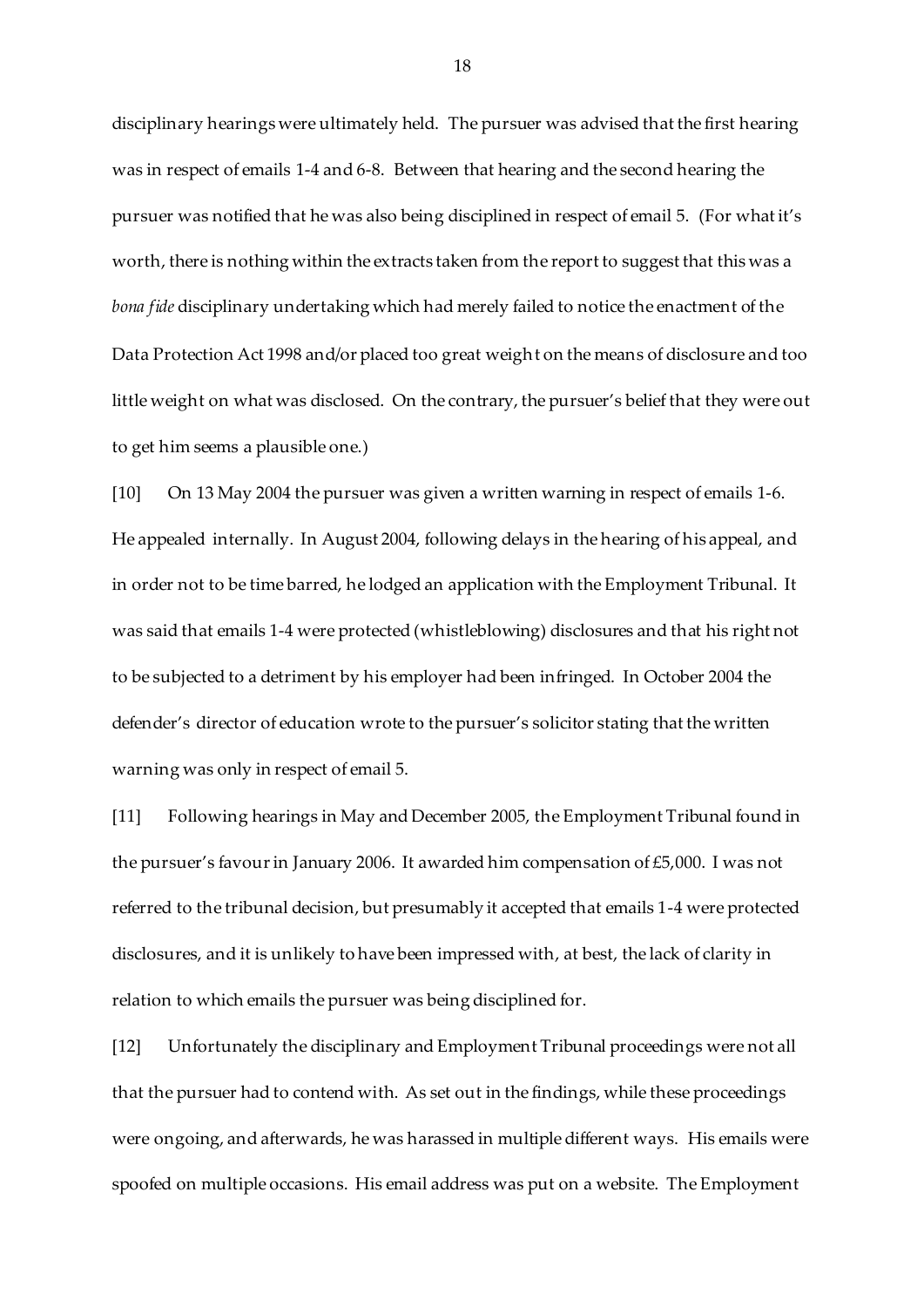disciplinary hearings were ultimately held. The pursuer was advised that the first hearing was in respect of emails 1-4 and 6-8. Between that hearing and the second hearing the pursuer was notified that he was also being disciplined in respect of email 5. (For what it's worth, there is nothing within the extracts taken from the report to suggest that this was a *bona fide* disciplinary undertaking which had merely failed to notice the enactment of the Data Protection Act 1998 and/or placed too great weight on the means of disclosure and too little weight on what was disclosed. On the contrary, the pursuer's belief that they were out to get him seems a plausible one.)

[10] On 13 May 2004 the pursuer was given a written warning in respect of emails 1-6. He appealed internally. In August 2004, following delays in the hearing of his appeal, and in order not to be time barred, he lodged an application with the Employment Tribunal. It was said that emails 1-4 were protected (whistleblowing) disclosures and that his right not to be subjected to a detriment by his employer had been infringed. In October 2004 the defender's director of education wrote to the pursuer's solicitor stating that the written warning was only in respect of email 5.

[11] Following hearings in May and December 2005, the Employment Tribunal found in the pursuer's favour in January 2006. It awarded him compensation of £5,000. I was not referred to the tribunal decision, but presumably it accepted that emails 1-4 were protected disclosures, and it is unlikely to have been impressed with, at best, the lack of clarity in relation to which emails the pursuer was being disciplined for.

[12] Unfortunately the disciplinary and Employment Tribunal proceedings were not all that the pursuer had to contend with. As set out in the findings, while these proceedings were ongoing, and afterwards, he was harassed in multiple different ways. His emails were spoofed on multiple occasions. His email address was put on a website. The Employment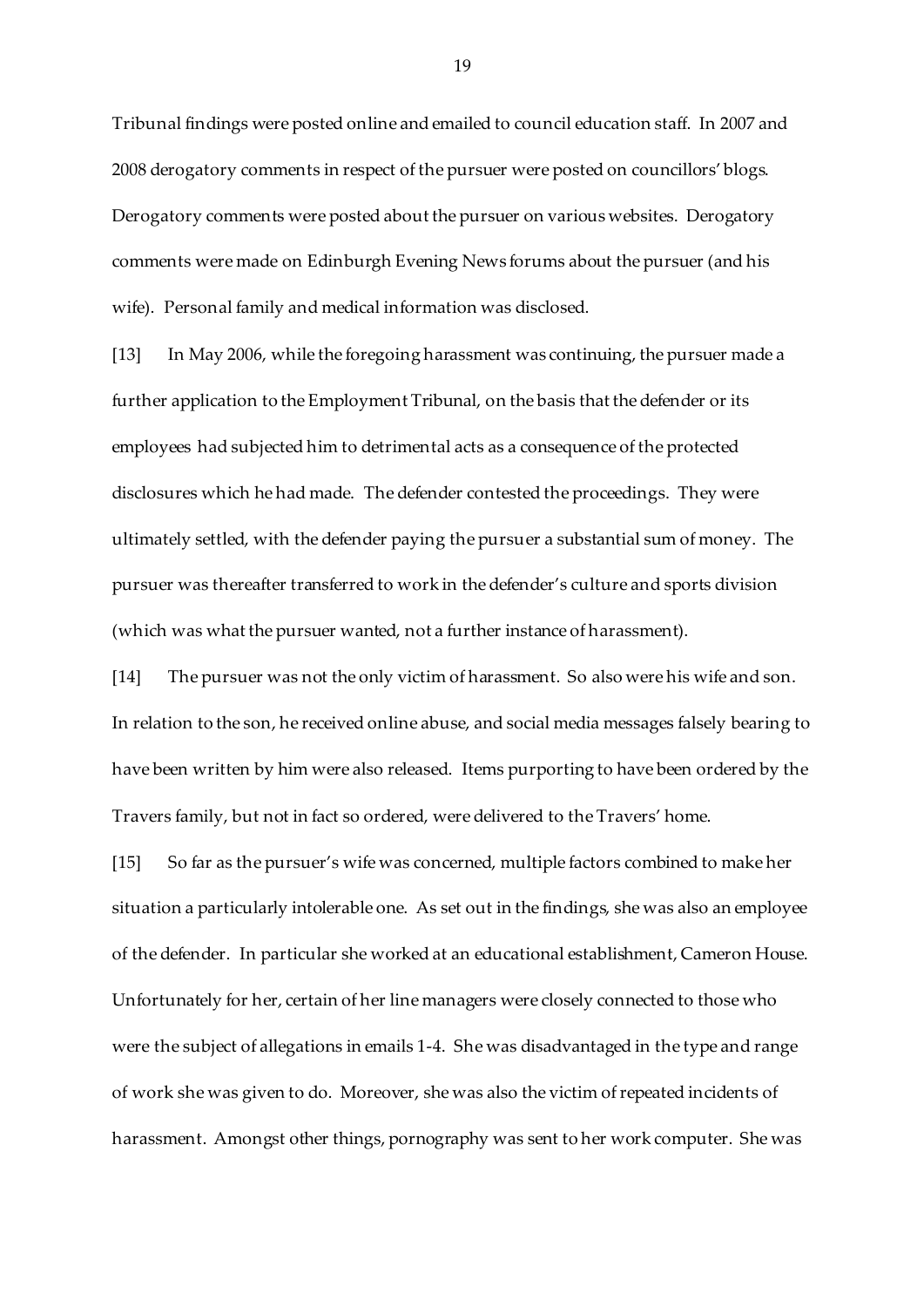Tribunal findings were posted online and emailed to council education staff. In 2007 and 2008 derogatory comments in respect of the pursuer were posted on councillors' blogs. Derogatory comments were posted about the pursuer on various websites. Derogatory comments were made on Edinburgh Evening News forums about the pursuer (and his wife). Personal family and medical information was disclosed.

[13] In May 2006, while the foregoing harassment was continuing, the pursuer made a further application to the Employment Tribunal, on the basis that the defender or its employees had subjected him to detrimental acts as a consequence of the protected disclosures which he had made. The defender contested the proceedings. They were ultimately settled, with the defender paying the pursuer a substantial sum of money. The pursuer was thereafter transferred to work in the defender's culture and sports division (which was what the pursuer wanted, not a further instance of harassment).

[14] The pursuer was not the only victim of harassment. So also were his wife and son. In relation to the son, he received online abuse, and social media messages falsely bearing to have been written by him were also released. Items purporting to have been ordered by the Travers family, but not in fact so ordered, were delivered to the Travers' home.

[15] So far as the pursuer's wife was concerned, multiple factors combined to make her situation a particularly intolerable one. As set out in the findings, she was also an employee of the defender. In particular she worked at an educational establishment, Cameron House. Unfortunately for her, certain of her line managers were closely connected to those who were the subject of allegations in emails 1-4. She was disadvantaged in the type and range of work she was given to do. Moreover, she was also the victim of repeated incidents of harassment. Amongst other things, pornography was sent to her work computer. She was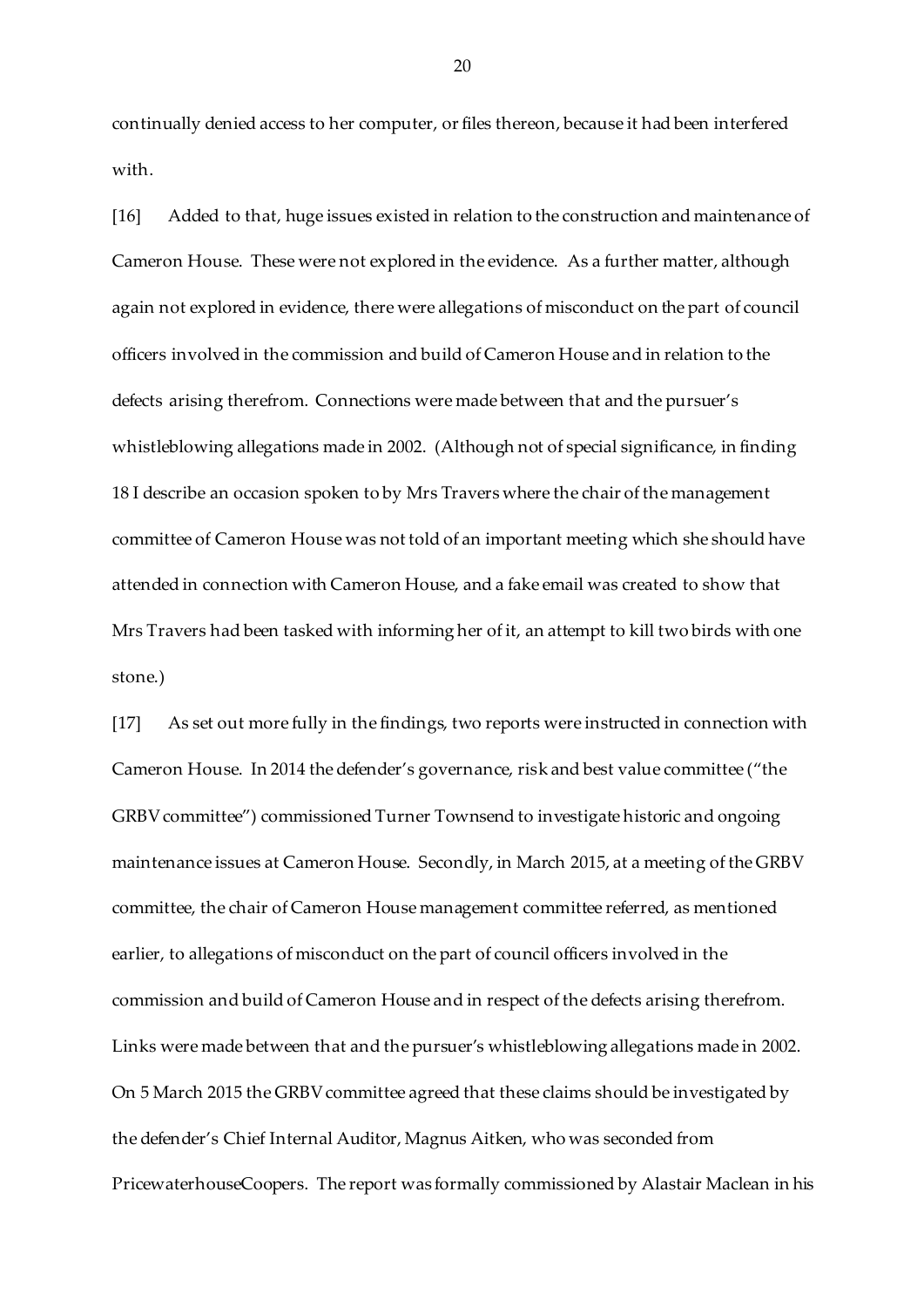continually denied access to her computer, or files thereon, because it had been interfered with.

[16] Added to that, huge issues existed in relation to the construction and maintenance of Cameron House. These were not explored in the evidence. As a further matter, although again not explored in evidence, there were allegations of misconduct on the part of council officers involved in the commission and build of Cameron House and in relation to the defects arising therefrom. Connections were made between that and the pursuer's whistleblowing allegations made in 2002. (Although not of special significance, in finding 18 I describe an occasion spoken to by Mrs Travers where the chair of the management committee of Cameron House was not told of an important meeting which she should have attended in connection with Cameron House, and a fake email was created to show that Mrs Travers had been tasked with informing her of it, an attempt to kill two birds with one stone.)

[17] As set out more fully in the findings, two reports were instructed in connection with Cameron House. In 2014 the defender's governance, risk and best value committee ("the GRBV committee") commissioned Turner Townsend to investigate historic and ongoing maintenance issues at Cameron House. Secondly, in March 2015, at a meeting of the GRBV committee, the chair of Cameron House management committee referred, as mentioned earlier, to allegations of misconduct on the part of council officers involved in the commission and build of Cameron House and in respect of the defects arising therefrom. Links were made between that and the pursuer's whistleblowing allegations made in 2002. On 5 March 2015 the GRBV committee agreed that these claims should be investigated by the defender's Chief Internal Auditor, Magnus Aitken, who was seconded from PricewaterhouseCoopers. The report was formally commissioned by Alastair Maclean in his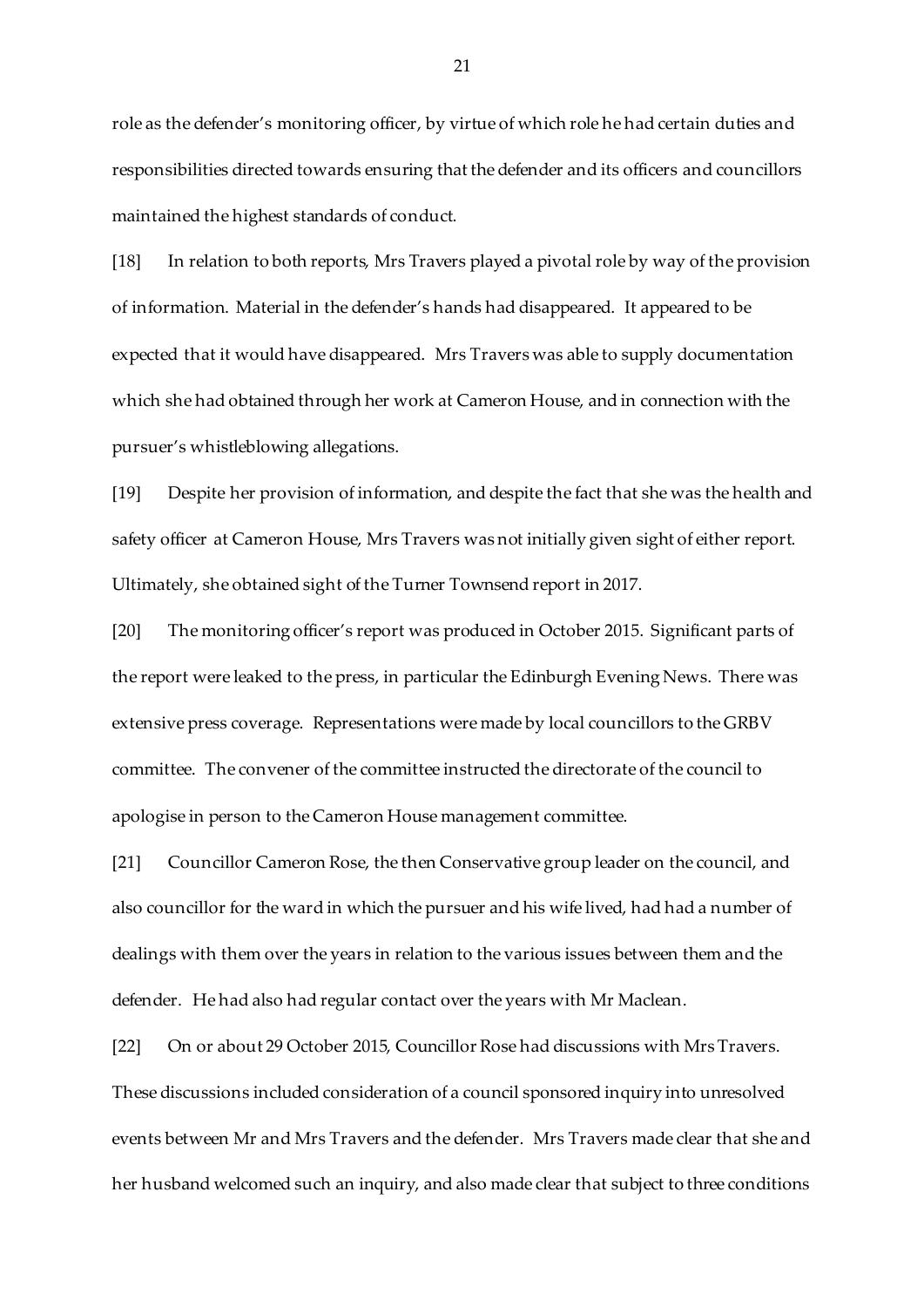role as the defender's monitoring officer, by virtue of which role he had certain duties and responsibilities directed towards ensuring that the defender and its officers and councillors maintained the highest standards of conduct.

[18] In relation to both reports, Mrs Travers played a pivotal role by way of the provision of information. Material in the defender's hands had disappeared. It appeared to be expected that it would have disappeared. Mrs Travers was able to supply documentation which she had obtained through her work at Cameron House, and in connection with the pursuer's whistleblowing allegations.

[19] Despite her provision of information, and despite the fact that she was the health and safety officer at Cameron House, Mrs Travers was not initially given sight of either report. Ultimately, she obtained sight of the Turner Townsend report in 2017.

[20] The monitoring officer's report was produced in October 2015. Significant parts of the report were leaked to the press, in particular the Edinburgh Evening News. There was extensive press coverage. Representations were made by local councillors to the GRBV committee. The convener of the committee instructed the directorate of the council to apologise in person to the Cameron House management committee.

[21] Councillor Cameron Rose, the then Conservative group leader on the council, and also councillor for the ward in which the pursuer and his wife lived, had had a number of dealings with them over the years in relation to the various issues between them and the defender. He had also had regular contact over the years with Mr Maclean.

[22] On or about 29 October 2015, Councillor Rose had discussions with Mrs Travers. These discussions included consideration of a council sponsored inquiry into unresolved events between Mr and Mrs Travers and the defender. Mrs Travers made clear that she and her husband welcomed such an inquiry, and also made clear that subject to three conditions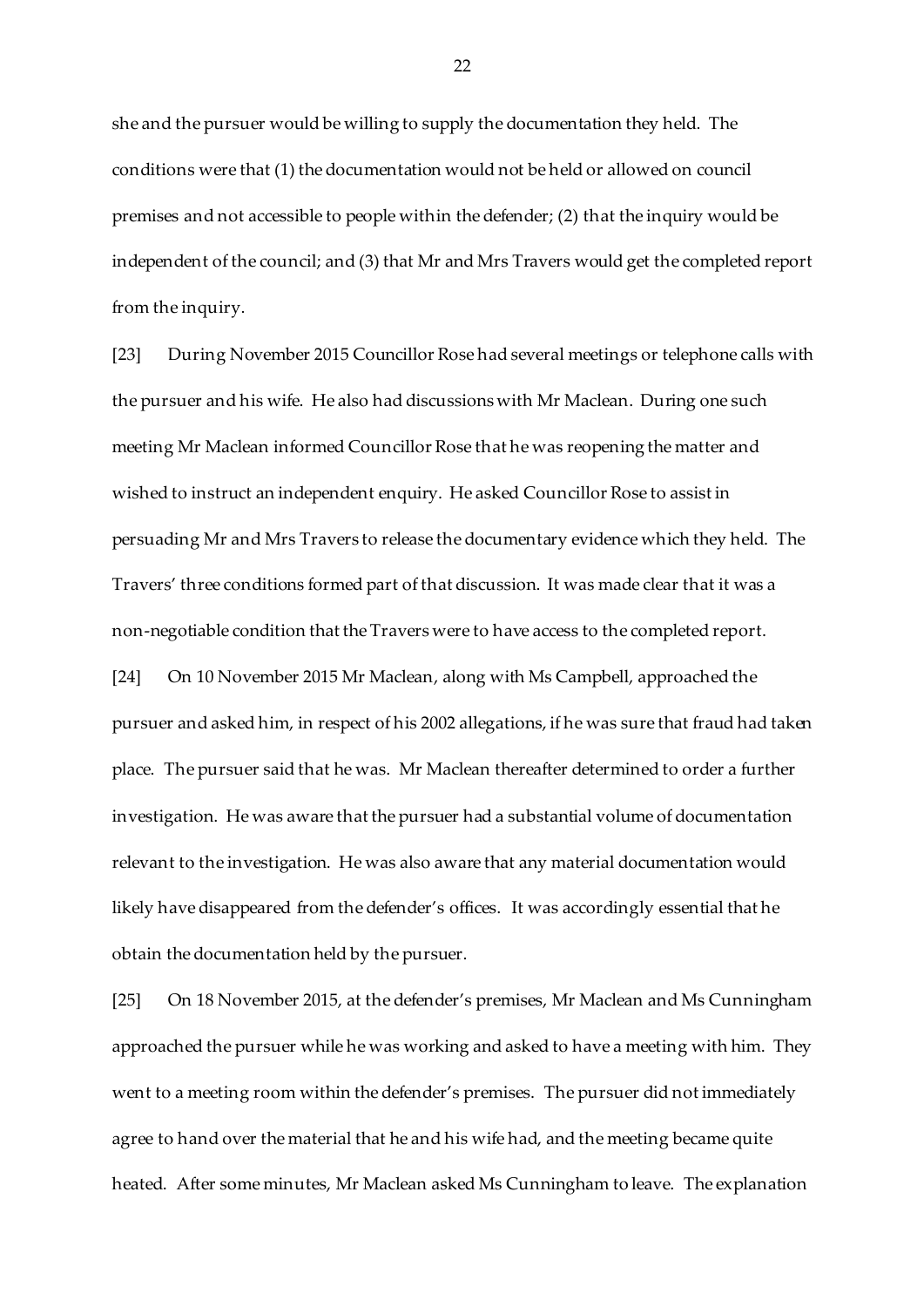she and the pursuer would be willing to supply the documentation they held. The conditions were that (1) the documentation would not be held or allowed on council premises and not accessible to people within the defender; (2) that the inquiry would be independent of the council; and (3) that Mr and Mrs Travers would get the completed report from the inquiry.

[23] During November 2015 Councillor Rose had several meetings or telephone calls with the pursuer and his wife. He also had discussions with Mr Maclean. During one such meeting Mr Maclean informed Councillor Rose that he was reopening the matter and wished to instruct an independent enquiry. He asked Councillor Rose to assist in persuading Mr and Mrs Travers to release the documentary evidence which they held. The Travers' three conditions formed part of that discussion. It was made clear that it was a non-negotiable condition that the Travers were to have access to the completed report. [24] On 10 November 2015 Mr Maclean, along with Ms Campbell, approached the

pursuer and asked him, in respect of his 2002 allegations, if he was sure that fraud had taken place. The pursuer said that he was. Mr Maclean thereafter determined to order a further investigation. He was aware that the pursuer had a substantial volume of documentation relevant to the investigation. He was also aware that any material documentation would likely have disappeared from the defender's offices. It was accordingly essential that he obtain the documentation held by the pursuer.

[25] On 18 November 2015, at the defender's premises, Mr Maclean and Ms Cunningham approached the pursuer while he was working and asked to have a meeting with him. They went to a meeting room within the defender's premises. The pursuer did not immediately agree to hand over the material that he and his wife had, and the meeting became quite heated. After some minutes, Mr Maclean asked Ms Cunningham to leave. The explanation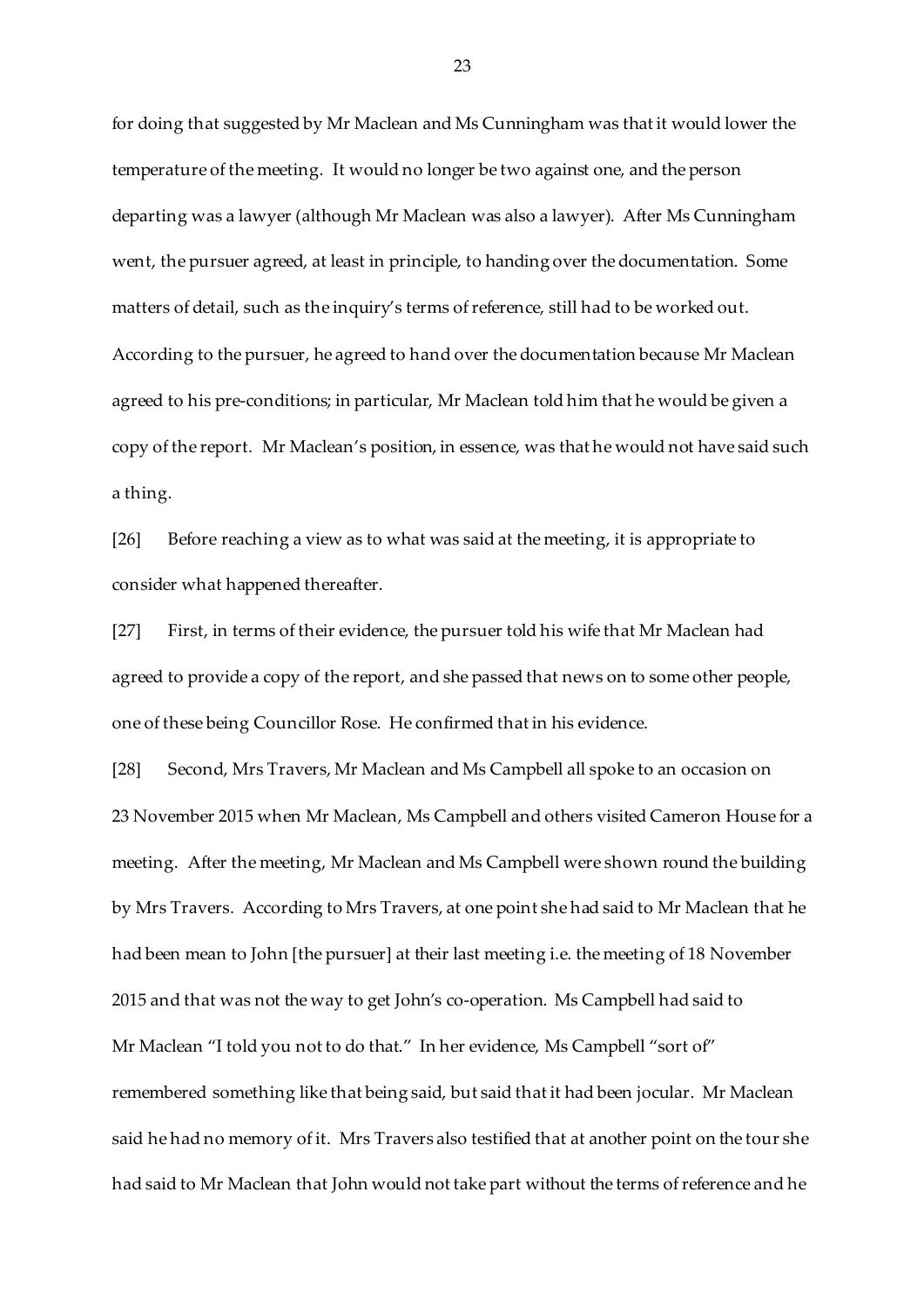for doing that suggested by Mr Maclean and Ms Cunningham was that it would lower the temperature of the meeting. It would no longer be two against one, and the person departing was a lawyer (although Mr Maclean was also a lawyer). After Ms Cunningham went, the pursuer agreed, at least in principle, to handing over the documentation. Some matters of detail, such as the inquiry's terms of reference, still had to be worked out. According to the pursuer, he agreed to hand over the documentation because Mr Maclean agreed to his pre-conditions; in particular, Mr Maclean told him that he would be given a copy of the report. Mr Maclean's position, in essence, was that he would not have said such a thing.

[26] Before reaching a view as to what was said at the meeting, it is appropriate to consider what happened thereafter.

[27] First, in terms of their evidence, the pursuer told his wife that Mr Maclean had agreed to provide a copy of the report, and she passed that news on to some other people, one of these being Councillor Rose. He confirmed that in his evidence.

[28] Second, Mrs Travers, Mr Maclean and Ms Campbell all spoke to an occasion on 23 November 2015 when Mr Maclean, Ms Campbell and others visited Cameron House for a meeting. After the meeting, Mr Maclean and Ms Campbell were shown round the building by Mrs Travers. According to Mrs Travers, at one point she had said to Mr Maclean that he had been mean to John [the pursuer] at their last meeting i.e. the meeting of 18 November 2015 and that was not the way to get John's co-operation. Ms Campbell had said to Mr Maclean "I told you not to do that." In her evidence, Ms Campbell "sort of" remembered something like that being said, but said that it had been jocular. Mr Maclean said he had no memory of it. Mrs Travers also testified that at another point on the tour she had said to Mr Maclean that John would not take part without the terms of reference and he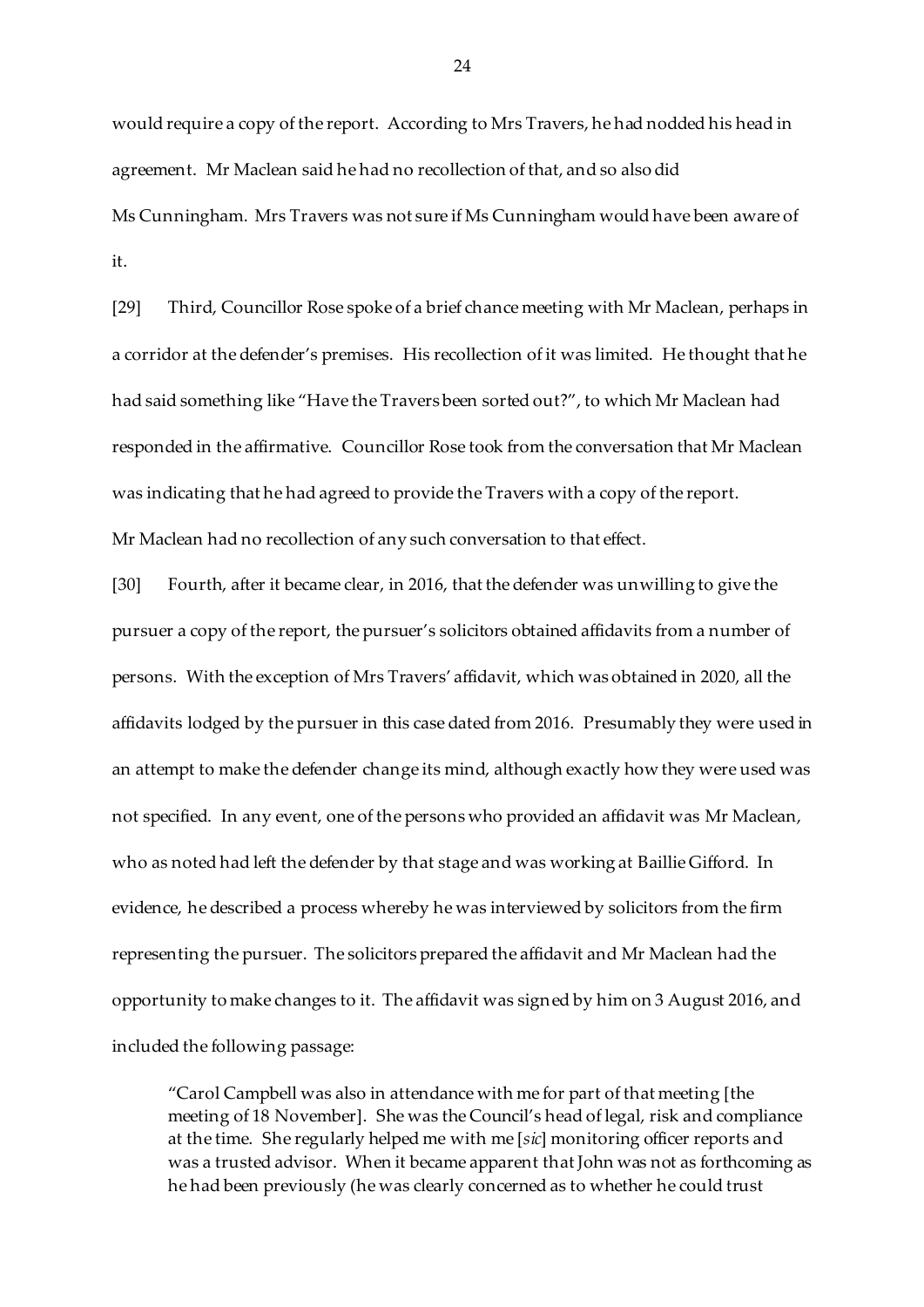would require a copy of the report. According to Mrs Travers, he had nodded his head in agreement. Mr Maclean said he had no recollection of that, and so also did Ms Cunningham. Mrs Travers was not sure if Ms Cunningham would have been aware of it.

[29] Third, Councillor Rose spoke of a brief chance meeting with Mr Maclean, perhaps in a corridor at the defender's premises. His recollection of it was limited. He thought that he had said something like "Have the Travers been sorted out?", to which Mr Maclean had responded in the affirmative. Councillor Rose took from the conversation that Mr Maclean was indicating that he had agreed to provide the Travers with a copy of the report. Mr Maclean had no recollection of any such conversation to that effect.

[30] Fourth, after it became clear, in 2016, that the defender was unwilling to give the pursuer a copy of the report, the pursuer's solicitors obtained affidavits from a number of persons. With the exception of Mrs Travers' affidavit, which was obtained in 2020, all the affidavits lodged by the pursuer in this case dated from 2016. Presumably they were used in an attempt to make the defender change its mind, although exactly how they were used was not specified. In any event, one of the persons who provided an affidavit was Mr Maclean, who as noted had left the defender by that stage and was working at Baillie Gifford. In evidence, he described a process whereby he was interviewed by solicitors from the firm representing the pursuer. The solicitors prepared the affidavit and Mr Maclean had the opportunity to make changes to it. The affidavit was signed by him on 3 August 2016, and included the following passage:

"Carol Campbell was also in attendance with me for part of that meeting [the meeting of 18 November]. She was the Council's head of legal, risk and compliance at the time. She regularly helped me with me [*sic*] monitoring officer reports and was a trusted advisor. When it became apparent that John was not as forthcoming as he had been previously (he was clearly concerned as to whether he could trust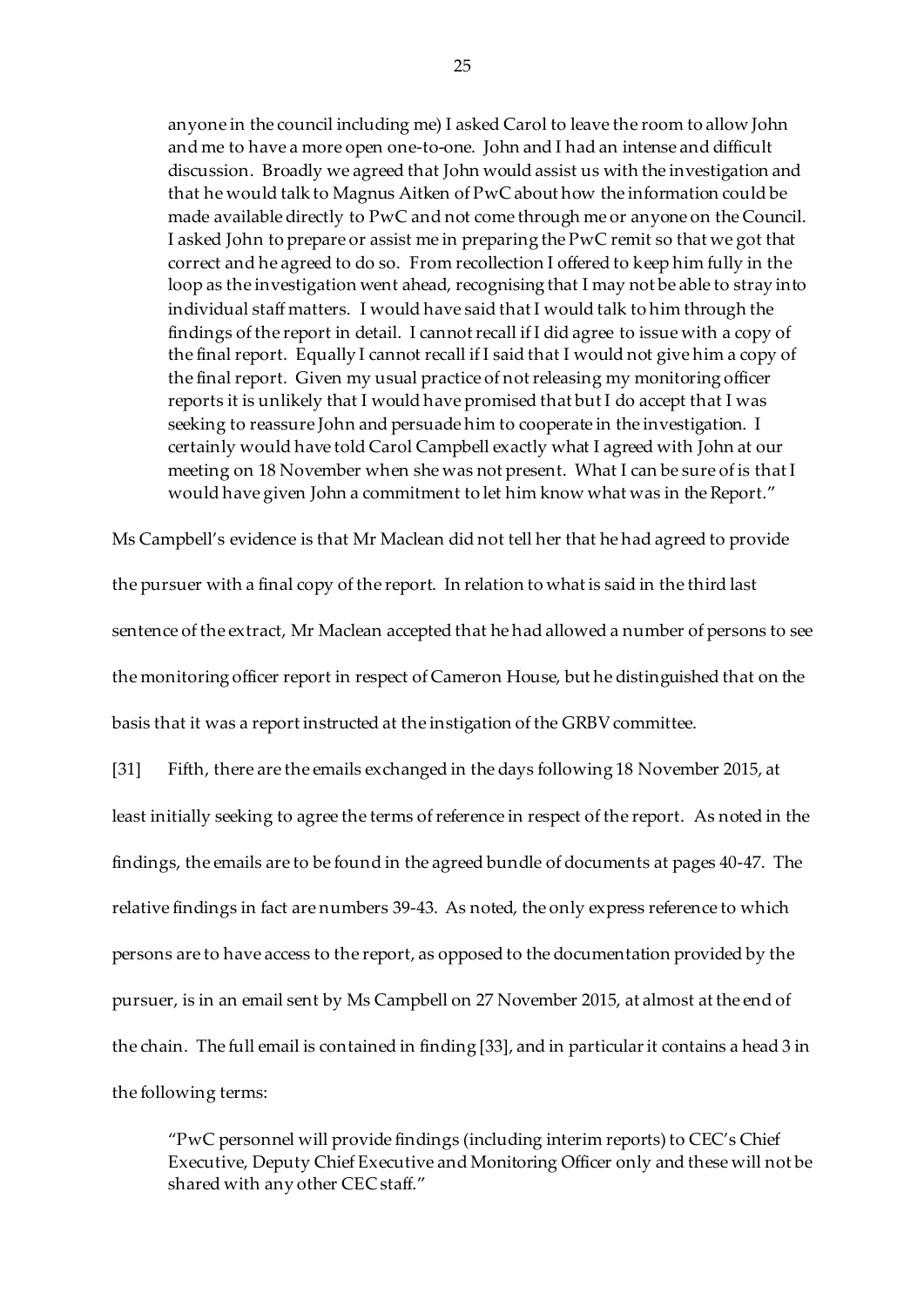anyone in the council including me) I asked Carol to leave the room to allow John and me to have a more open one-to-one. John and I had an intense and difficult discussion. Broadly we agreed that John would assist us with the investigation and that he would talk to Magnus Aitken of PwC about how the information could be made available directly to PwC and not come through me or anyone on the Council. I asked John to prepare or assist me in preparing the PwC remit so that we got that correct and he agreed to do so. From recollection I offered to keep him fully in the loop as the investigation went ahead, recognising that I may not be able to stray into individual staff matters. I would have said that I would talk to him through the findings of the report in detail. I cannot recall if I did agree to issue with a copy of the final report. Equally I cannot recall if I said that I would not give him a copy of the final report. Given my usual practice of not releasing my monitoring officer reports it is unlikely that I would have promised that but I do accept that I was seeking to reassure John and persuade him to cooperate in the investigation. I certainly would have told Carol Campbell exactly what I agreed with John at our meeting on 18 November when she was not present. What I can be sure of is that I would have given John a commitment to let him know what was in the Report."

the pursuer with a final copy of the report. In relation to what is said in the third last sentence of the extract, Mr Maclean accepted that he had allowed a number of persons to see the monitoring officer report in respect of Cameron House, but he distinguished that on the basis that it was a report instructed at the instigation of the GRBV committee.

Ms Campbell's evidence is that Mr Maclean did not tell her that he had agreed to provide

[31] Fifth, there are the emails exchanged in the days following 18 November 2015, at least initially seeking to agree the terms of reference in respect of the report. As noted in the findings, the emails are to be found in the agreed bundle of documents at pages 40-47. The relative findings in fact are numbers 39-43. As noted, the only express reference to which persons are to have access to the report, as opposed to the documentation provided by the pursuer, is in an email sent by Ms Campbell on 27 November 2015, at almost at the end of the chain. The full email is contained in finding [33], and in particular it contains a head 3 in the following terms:

"PwC personnel will provide findings (including interim reports) to CEC's Chief Executive, Deputy Chief Executive and Monitoring Officer only and these will not be shared with any other CEC staff."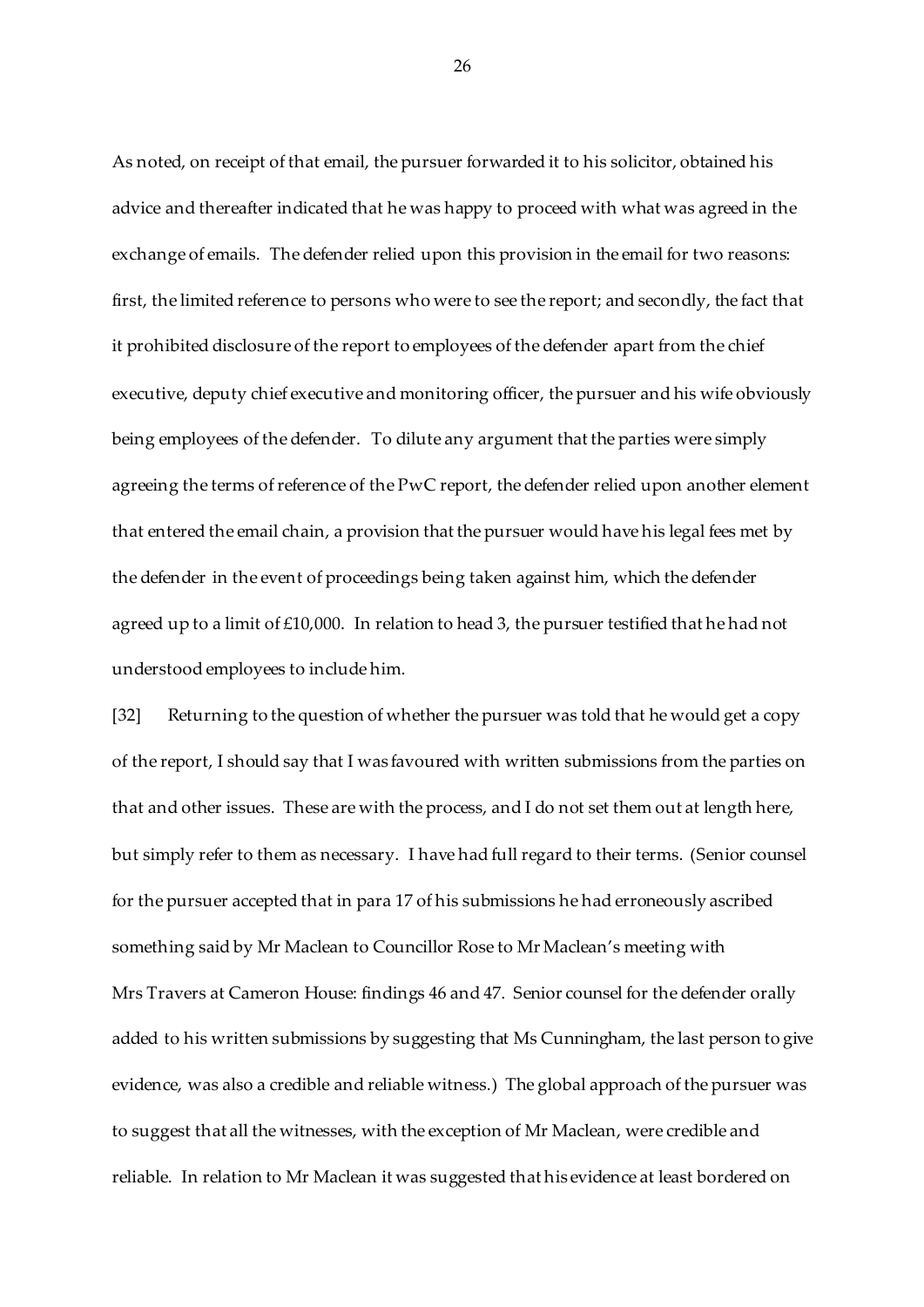As noted, on receipt of that email, the pursuer forwarded it to his solicitor, obtained his advice and thereafter indicated that he was happy to proceed with what was agreed in the exchange of emails. The defender relied upon this provision in the email for two reasons: first, the limited reference to persons who were to see the report; and secondly, the fact that it prohibited disclosure of the report to employees of the defender apart from the chief executive, deputy chief executive and monitoring officer, the pursuer and his wife obviously being employees of the defender. To dilute any argument that the parties were simply agreeing the terms of reference of the PwC report, the defender relied upon another element that entered the email chain, a provision that the pursuer would have his legal fees met by the defender in the event of proceedings being taken against him, which the defender agreed up to a limit of  $£10,000$ . In relation to head 3, the pursuer testified that he had not understood employees to include him.

[32] Returning to the question of whether the pursuer was told that he would get a copy of the report, I should say that I was favoured with written submissions from the parties on that and other issues. These are with the process, and I do not set them out at length here, but simply refer to them as necessary. I have had full regard to their terms. (Senior counsel for the pursuer accepted that in para 17 of his submissions he had erroneously ascribed something said by Mr Maclean to Councillor Rose to Mr Maclean's meeting with Mrs Travers at Cameron House: findings 46 and 47. Senior counsel for the defender orally added to his written submissions by suggesting that Ms Cunningham, the last person to give evidence, was also a credible and reliable witness.) The global approach of the pursuer was to suggest that all the witnesses, with the exception of Mr Maclean, were credible and reliable. In relation to Mr Maclean it was suggested that his evidence at least bordered on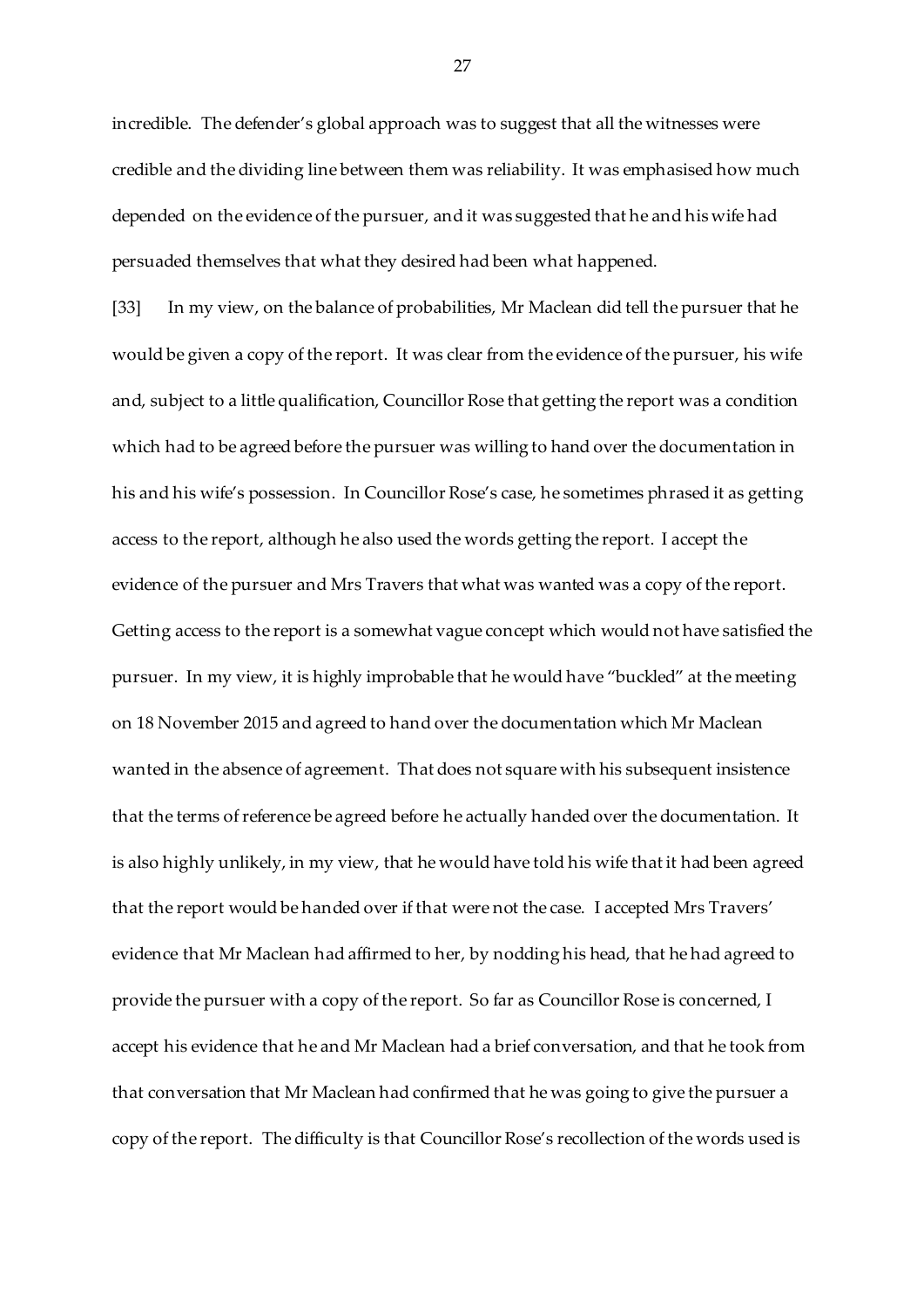incredible. The defender's global approach was to suggest that all the witnesses were credible and the dividing line between them was reliability. It was emphasised how much depended on the evidence of the pursuer, and it was suggested that he and his wife had persuaded themselves that what they desired had been what happened.

[33] In my view, on the balance of probabilities, Mr Maclean did tell the pursuer that he would be given a copy of the report. It was clear from the evidence of the pursuer, his wife and, subject to a little qualification, Councillor Rose that getting the report was a condition which had to be agreed before the pursuer was willing to hand over the documentation in his and his wife's possession. In Councillor Rose's case, he sometimes phrased it as getting access to the report, although he also used the words getting the report. I accept the evidence of the pursuer and Mrs Travers that what was wanted was a copy of the report. Getting access to the report is a somewhat vague concept which would not have satisfied the pursuer. In my view, it is highly improbable that he would have "buckled" at the meeting on 18 November 2015 and agreed to hand over the documentation which Mr Maclean wanted in the absence of agreement. That does not square with his subsequent insistence that the terms of reference be agreed before he actually handed over the documentation. It is also highly unlikely, in my view, that he would have told his wife that it had been agreed that the report would be handed over if that were not the case. I accepted Mrs Travers' evidence that Mr Maclean had affirmed to her, by nodding his head, that he had agreed to provide the pursuer with a copy of the report. So far as Councillor Rose is concerned, I accept his evidence that he and Mr Maclean had a brief conversation, and that he took from that conversation that Mr Maclean had confirmed that he was going to give the pursuer a copy of the report. The difficulty is that Councillor Rose's recollection of the words used is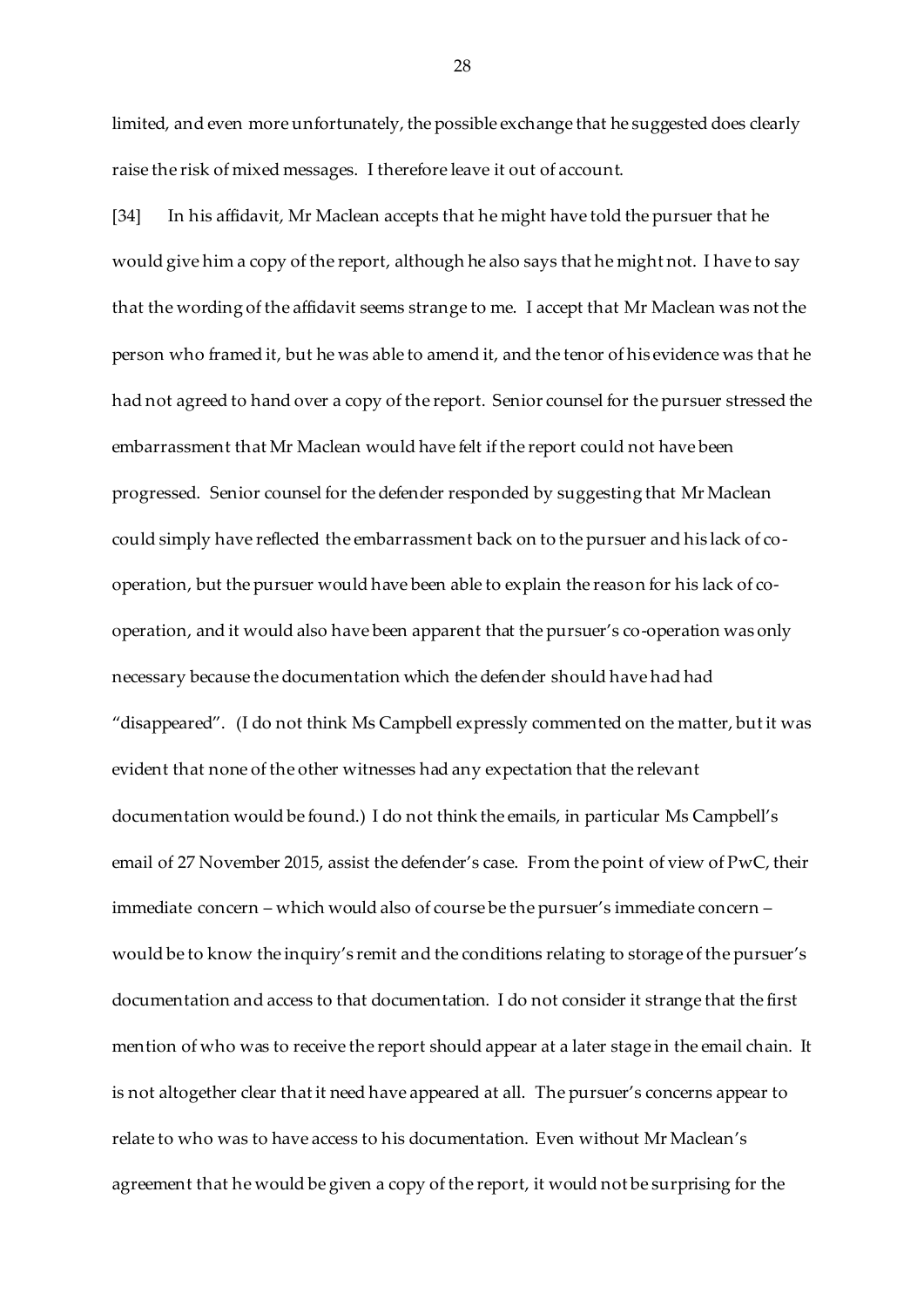limited, and even more unfortunately, the possible exchange that he suggested does clearly raise the risk of mixed messages. I therefore leave it out of account.

[34] In his affidavit, Mr Maclean accepts that he might have told the pursuer that he would give him a copy of the report, although he also says that he might not. I have to say that the wording of the affidavit seems strange to me. I accept that Mr Maclean was not the person who framed it, but he was able to amend it, and the tenor of his evidence was that he had not agreed to hand over a copy of the report. Senior counsel for the pursuer stressed the embarrassment that Mr Maclean would have felt if the report could not have been progressed. Senior counsel for the defender responded by suggesting that Mr Maclean could simply have reflected the embarrassment back on to the pursuer and his lack of cooperation, but the pursuer would have been able to explain the reason for his lack of cooperation, and it would also have been apparent that the pursuer's co-operation was only necessary because the documentation which the defender should have had had "disappeared". (I do not think Ms Campbell expressly commented on the matter, but it was evident that none of the other witnesses had any expectation that the relevant documentation would be found.) I do not think the emails, in particular Ms Campbell's email of 27 November 2015, assist the defender's case. From the point of view of PwC, their immediate concern – which would also of course be the pursuer's immediate concern – would be to know the inquiry's remit and the conditions relating to storage of the pursuer's documentation and access to that documentation. I do not consider it strange that the first mention of who was to receive the report should appear at a later stage in the email chain. It is not altogether clear that it need have appeared at all. The pursuer's concerns appear to relate to who was to have access to his documentation. Even without Mr Maclean's agreement that he would be given a copy of the report, it would not be surprising for the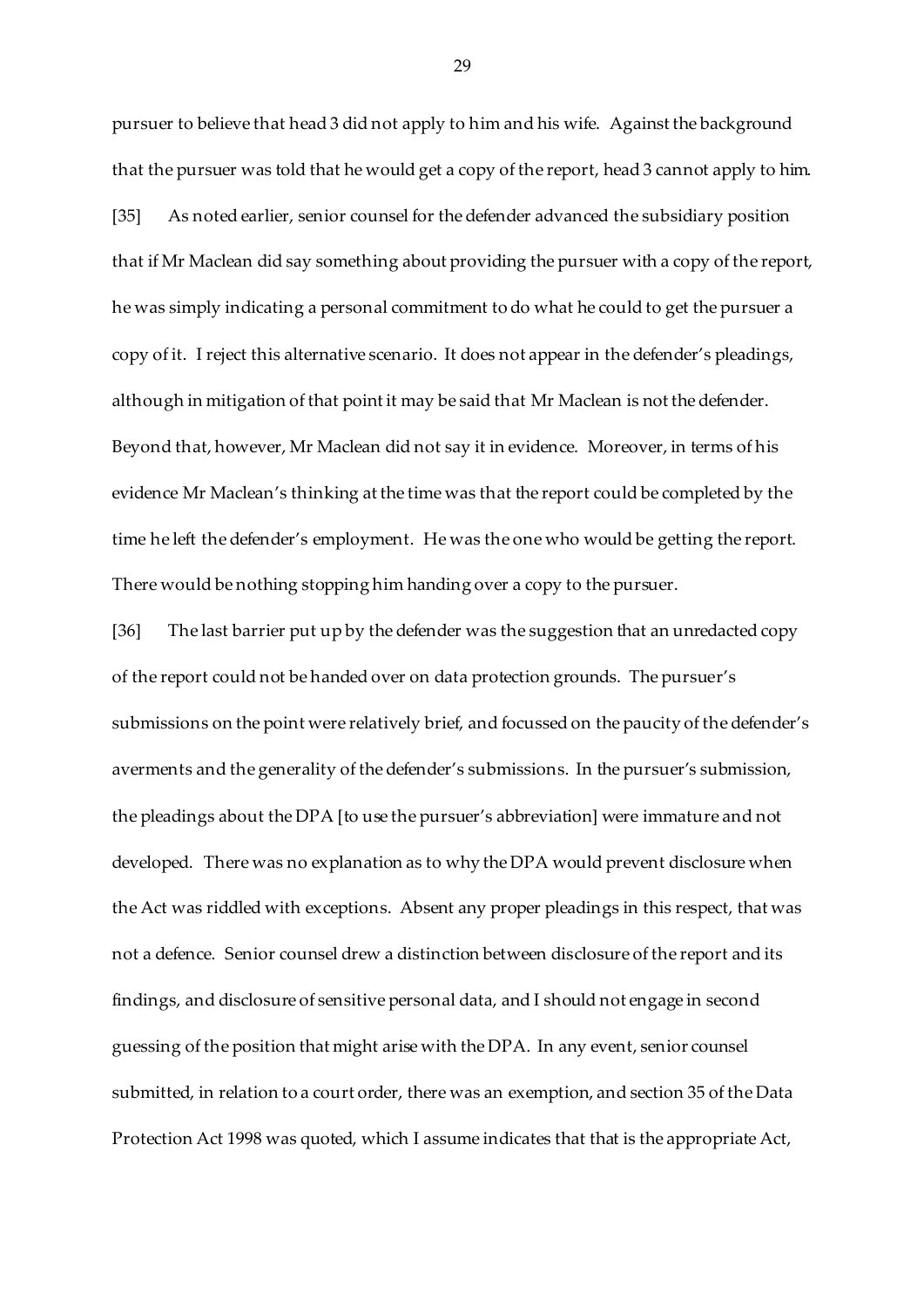pursuer to believe that head 3 did not apply to him and his wife. Against the background that the pursuer was told that he would get a copy of the report, head 3 cannot apply to him. [35] As noted earlier, senior counsel for the defender advanced the subsidiary position that if Mr Maclean did say something about providing the pursuer with a copy of the report, he was simply indicating a personal commitment to do what he could to get the pursuer a copy of it. I reject this alternative scenario. It does not appear in the defender's pleadings, although in mitigation of that point it may be said that Mr Maclean is not the defender. Beyond that, however, Mr Maclean did not say it in evidence. Moreover, in terms of his evidence Mr Maclean's thinking at the time was that the report could be completed by the time he left the defender's employment. He was the one who would be getting the report. There would be nothing stopping him handing over a copy to the pursuer.

[36] The last barrier put up by the defender was the suggestion that an unredacted copy of the report could not be handed over on data protection grounds. The pursuer's submissions on the point were relatively brief, and focussed on the paucity of the defender's averments and the generality of the defender's submissions. In the pursuer's submission, the pleadings about the DPA [to use the pursuer's abbreviation] were immature and not developed. There was no explanation as to why the DPA would prevent disclosure when the Act was riddled with exceptions. Absent any proper pleadings in this respect, that was not a defence. Senior counsel drew a distinction between disclosure of the report and its findings, and disclosure of sensitive personal data, and I should not engage in second guessing of the position that might arise with the DPA. In any event, senior counsel submitted, in relation to a court order, there was an exemption, and section 35 of the Data Protection Act 1998 was quoted, which I assume indicates that that is the appropriate Act,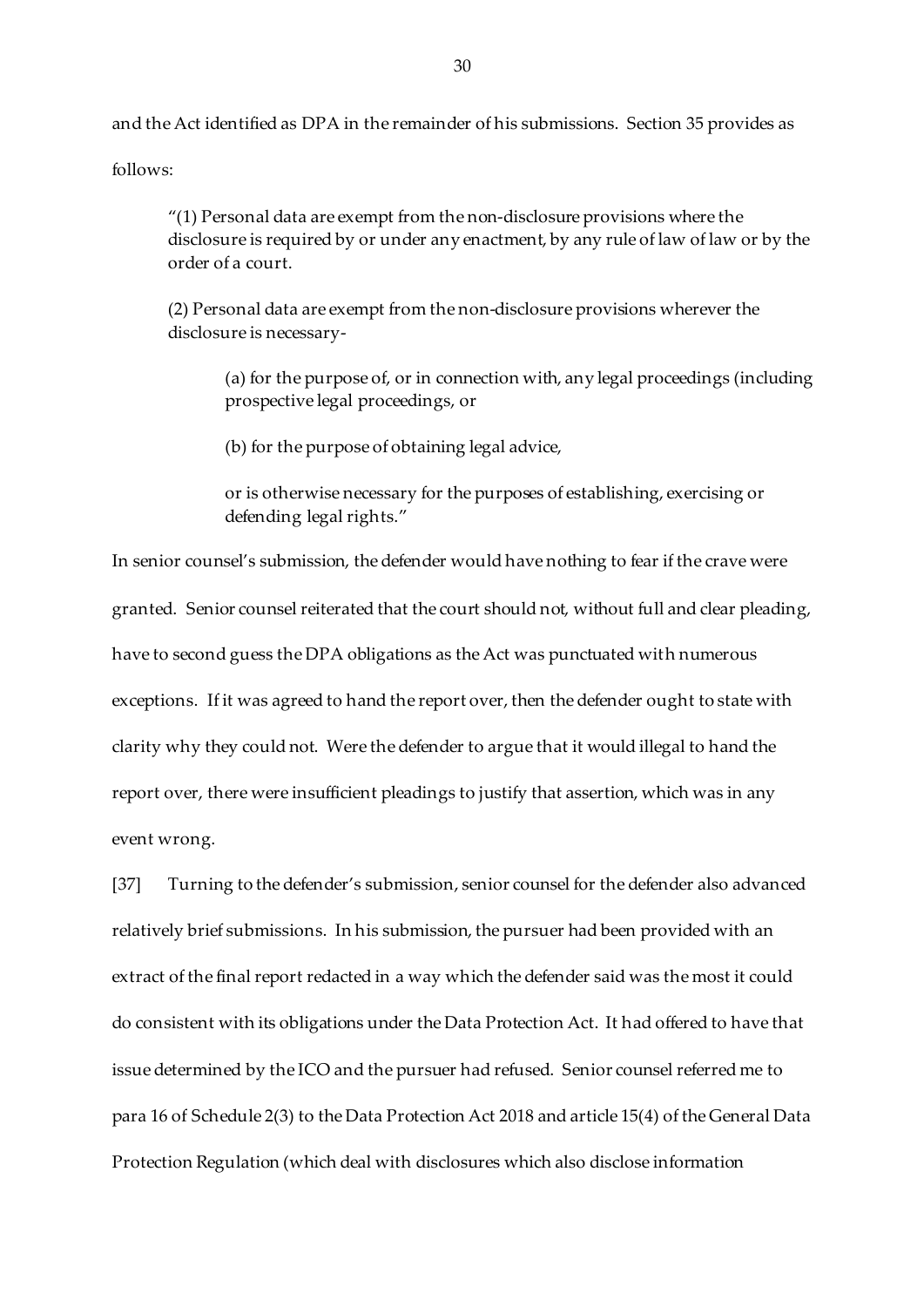and the Act identified as DPA in the remainder of his submissions. Section 35 provides as

follows:

"(1) Personal data are exempt from the non-disclosure provisions where the disclosure is required by or under any enactment, by any rule of law of law or by the order of a court.

(2) Personal data are exempt from the non-disclosure provisions wherever the disclosure is necessary-

(a) for the purpose of, or in connection with, any legal proceedings (including prospective legal proceedings, or

(b) for the purpose of obtaining legal advice,

or is otherwise necessary for the purposes of establishing, exercising or defending legal rights."

In senior counsel's submission, the defender would have nothing to fear if the crave were granted. Senior counsel reiterated that the court should not, without full and clear pleading, have to second guess the DPA obligations as the Act was punctuated with numerous exceptions. If it was agreed to hand the report over, then the defender ought to state with clarity why they could not. Were the defender to argue that it would illegal to hand the report over, there were insufficient pleadings to justify that assertion, which was in any event wrong.

[37] Turning to the defender's submission, senior counsel for the defender also advanced relatively brief submissions. In his submission, the pursuer had been provided with an extract of the final report redacted in a way which the defender said was the most it could do consistent with its obligations under the Data Protection Act. It had offered to have that issue determined by the ICO and the pursuer had refused. Senior counsel referred me to para 16 of Schedule 2(3) to the Data Protection Act 2018 and article 15(4) of the General Data Protection Regulation (which deal with disclosures which also disclose information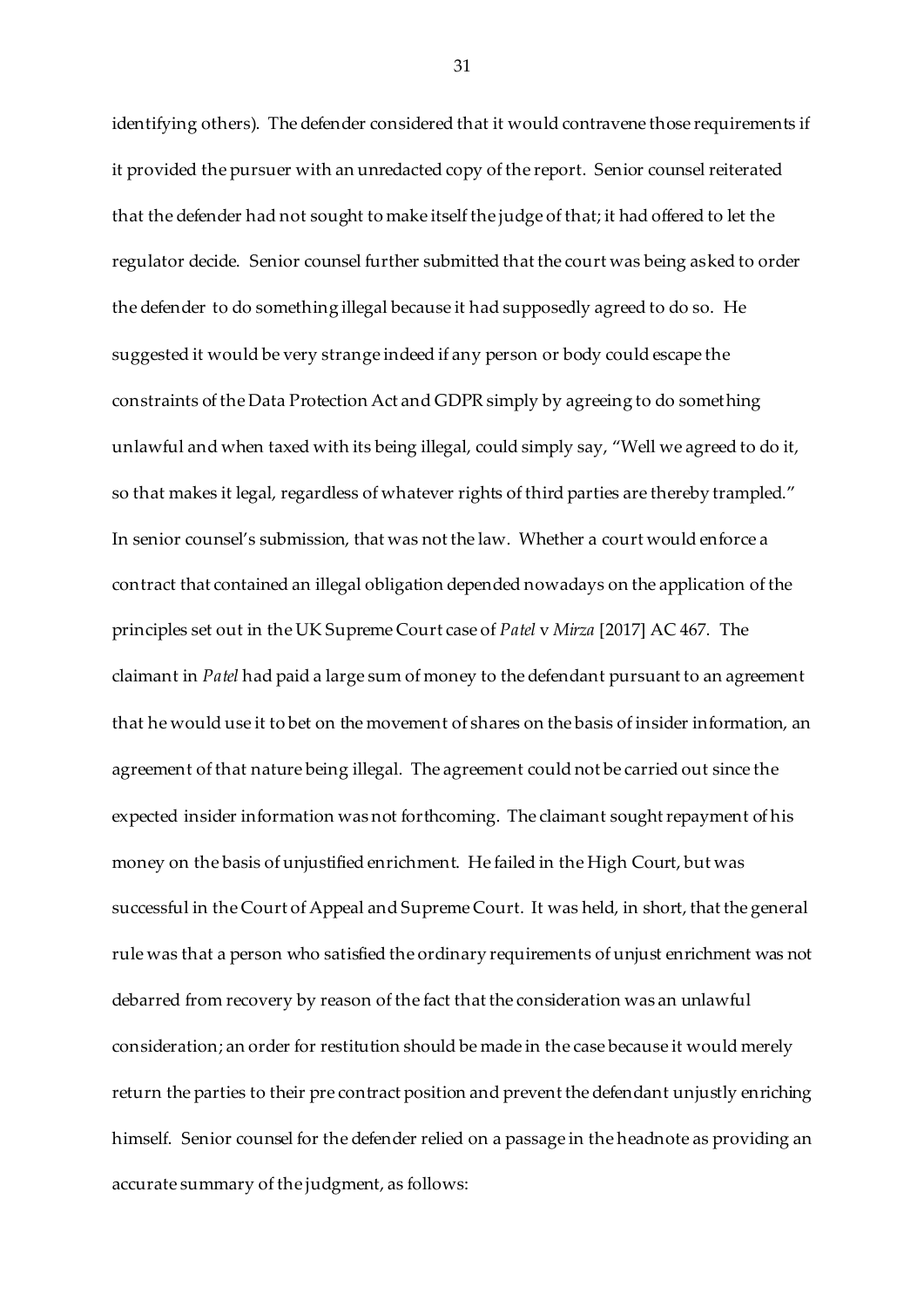identifying others). The defender considered that it would contravene those requirements if it provided the pursuer with an unredacted copy of the report. Senior counsel reiterated that the defender had not sought to make itself the judge of that; it had offered to let the regulator decide. Senior counsel further submitted that the court was being asked to order the defender to do something illegal because it had supposedly agreed to do so. He suggested it would be very strange indeed if any person or body could escape the constraints of the Data Protection Act and GDPR simply by agreeing to do something unlawful and when taxed with its being illegal, could simply say, "Well we agreed to do it, so that makes it legal, regardless of whatever rights of third parties are thereby trampled." In senior counsel's submission, that was not the law. Whether a court would enforce a contract that contained an illegal obligation depended nowadays on the application of the principles set out in the UK Supreme Court case of *Patel* v *Mirza* [2017] AC 467. The claimant in *Patel* had paid a large sum of money to the defendant pursuant to an agreement that he would use it to bet on the movement of shares on the basis of insider information, an agreement of that nature being illegal. The agreement could not be carried out since the expected insider information was not forthcoming. The claimant sought repayment of his money on the basis of unjustified enrichment. He failed in the High Court, but was successful in the Court of Appeal and Supreme Court. It was held, in short, that the general rule was that a person who satisfied the ordinary requirements of unjust enrichment was not debarred from recovery by reason of the fact that the consideration was an unlawful consideration; an order for restitution should be made in the case because it would merely return the parties to their pre contract position and prevent the defendant unjustly enriching himself. Senior counsel for the defender relied on a passage in the headnote as providing an accurate summary of the judgment, as follows: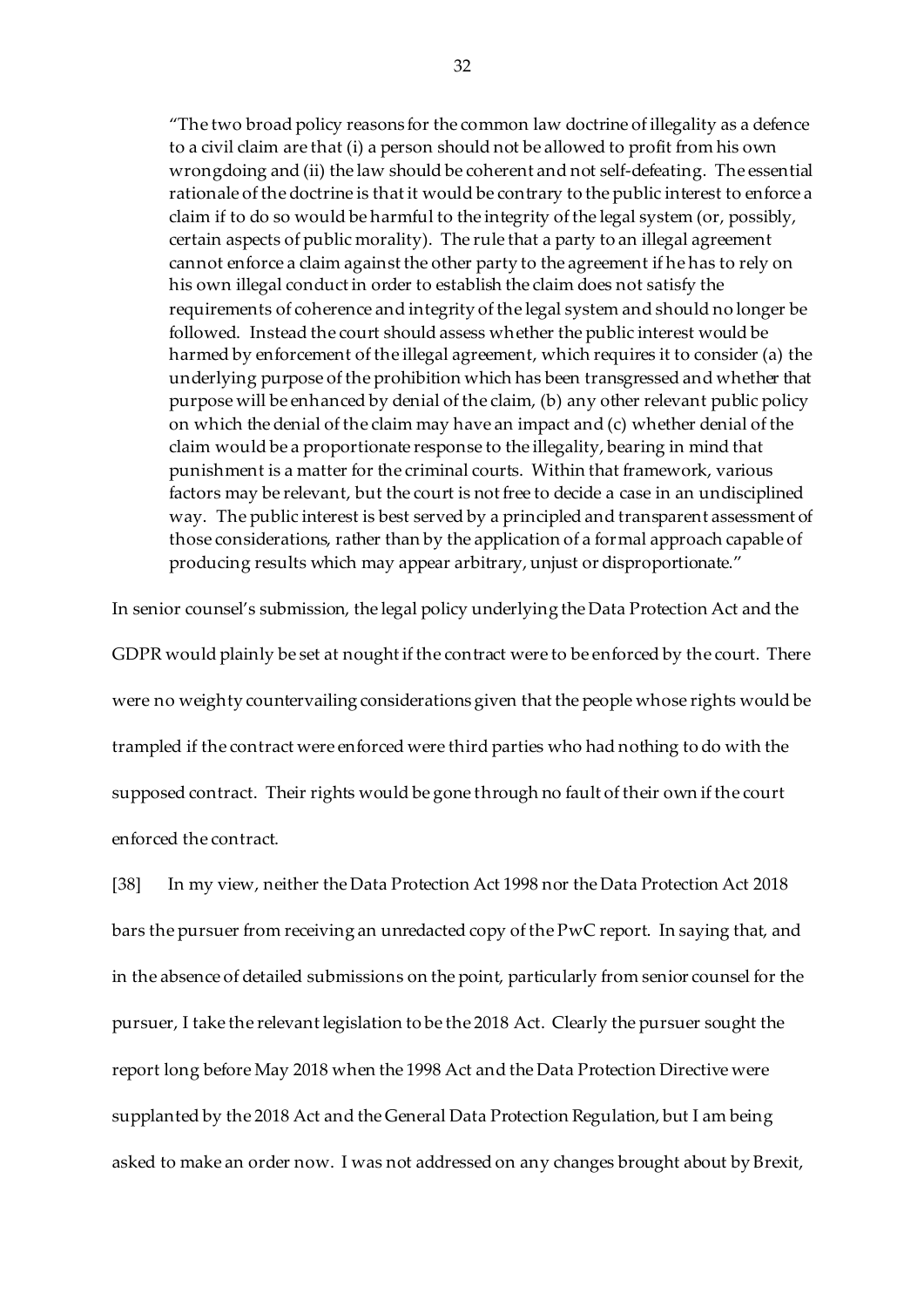"The two broad policy reasons for the common law doctrine of illegality as a defence to a civil claim are that (i) a person should not be allowed to profit from his own wrongdoing and (ii) the law should be coherent and not self-defeating. The essential rationale of the doctrine is that it would be contrary to the public interest to enforce a claim if to do so would be harmful to the integrity of the legal system (or, possibly, certain aspects of public morality). The rule that a party to an illegal agreement cannot enforce a claim against the other party to the agreement if he has to rely on his own illegal conduct in order to establish the claim does not satisfy the requirements of coherence and integrity of the legal system and should no longer be followed. Instead the court should assess whether the public interest would be harmed by enforcement of the illegal agreement, which requires it to consider (a) the underlying purpose of the prohibition which has been transgressed and whether that purpose will be enhanced by denial of the claim, (b) any other relevant public policy on which the denial of the claim may have an impact and (c) whether denial of the claim would be a proportionate response to the illegality, bearing in mind that punishment is a matter for the criminal courts. Within that framework, various factors may be relevant, but the court is not free to decide a case in an undisciplined way. The public interest is best served by a principled and transparent assessment of those considerations, rather than by the application of a formal approach capable of producing results which may appear arbitrary, unjust or disproportionate."

In senior counsel's submission, the legal policy underlying the Data Protection Act and the GDPR would plainly be set at nought if the contract were to be enforced by the court. There were no weighty countervailing considerations given that the people whose rights would be trampled if the contract were enforced were third parties who had nothing to do with the supposed contract. Their rights would be gone through no fault of their own if the court enforced the contract.

[38] In my view, neither the Data Protection Act 1998 nor the Data Protection Act 2018 bars the pursuer from receiving an unredacted copy of the PwC report. In saying that, and in the absence of detailed submissions on the point, particularly from senior counsel for the pursuer, I take the relevant legislation to be the 2018 Act. Clearly the pursuer sought the report long before May 2018 when the 1998 Act and the Data Protection Directive were supplanted by the 2018 Act and the General Data Protection Regulation, but I am being asked to make an order now. I was not addressed on any changes brought about by Brexit,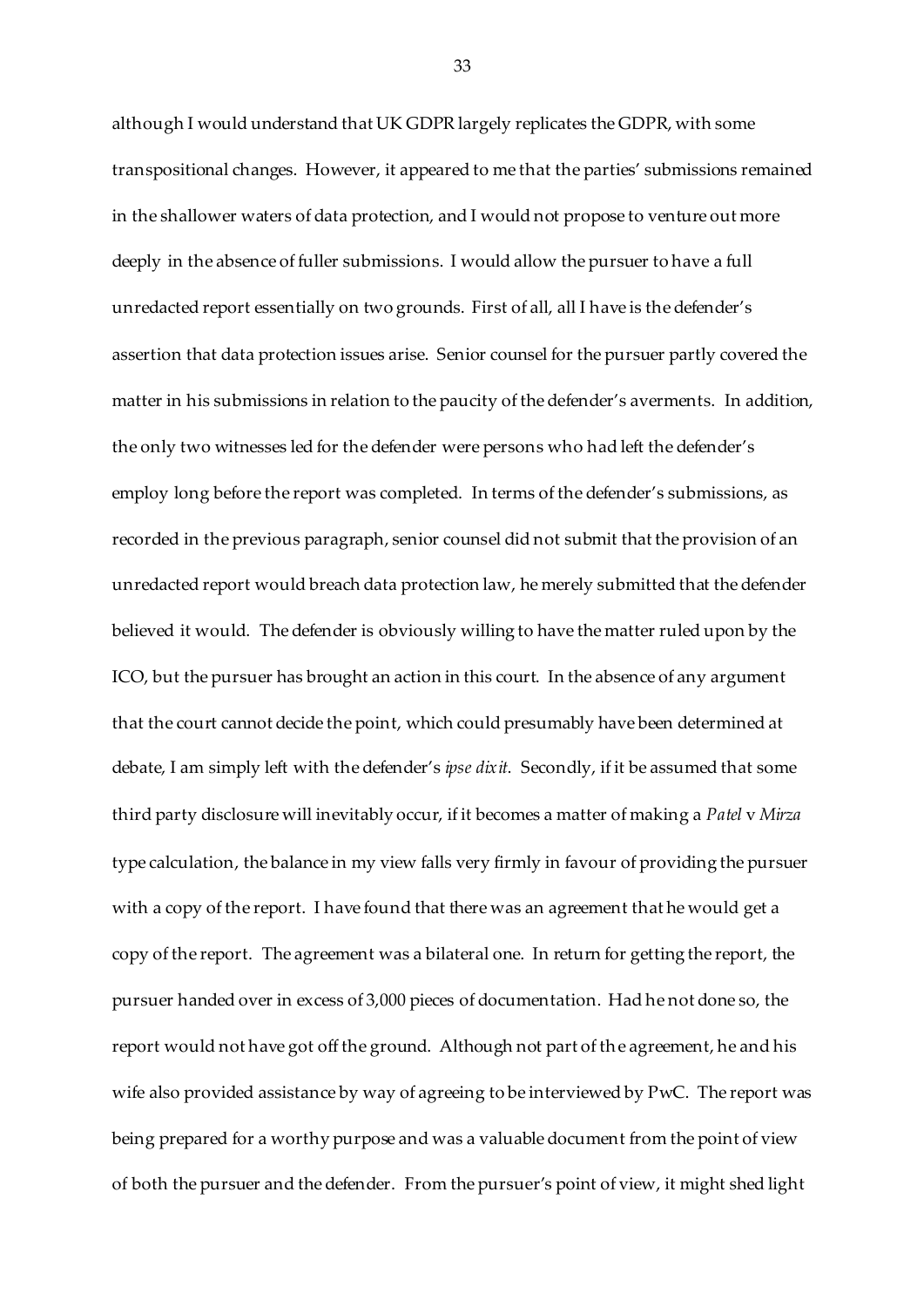although I would understand that UK GDPR largely replicates the GDPR, with some transpositional changes. However, it appeared to me that the parties' submissions remained in the shallower waters of data protection, and I would not propose to venture out more deeply in the absence of fuller submissions. I would allow the pursuer to have a full unredacted report essentially on two grounds. First of all, all I have is the defender's assertion that data protection issues arise. Senior counsel for the pursuer partly covered the matter in his submissions in relation to the paucity of the defender's averments. In addition, the only two witnesses led for the defender were persons who had left the defender's employ long before the report was completed. In terms of the defender's submissions, as recorded in the previous paragraph, senior counsel did not submit that the provision of an unredacted report would breach data protection law, he merely submitted that the defender believed it would. The defender is obviously willing to have the matter ruled upon by the ICO, but the pursuer has brought an action in this court. In the absence of any argument that the court cannot decide the point, which could presumably have been determined at debate, I am simply left with the defender's *ipse dixit*. Secondly, if it be assumed that some third party disclosure will inevitably occur, if it becomes a matter of making a *Patel* v *Mirza* type calculation, the balance in my view falls very firmly in favour of providing the pursuer with a copy of the report. I have found that there was an agreement that he would get a copy of the report. The agreement was a bilateral one. In return for getting the report, the pursuer handed over in excess of 3,000 pieces of documentation. Had he not done so, the report would not have got off the ground. Although not part of the agreement, he and his wife also provided assistance by way of agreeing to be interviewed by PwC. The report was being prepared for a worthy purpose and was a valuable document from the point of view of both the pursuer and the defender. From the pursuer's point of view, it might shed light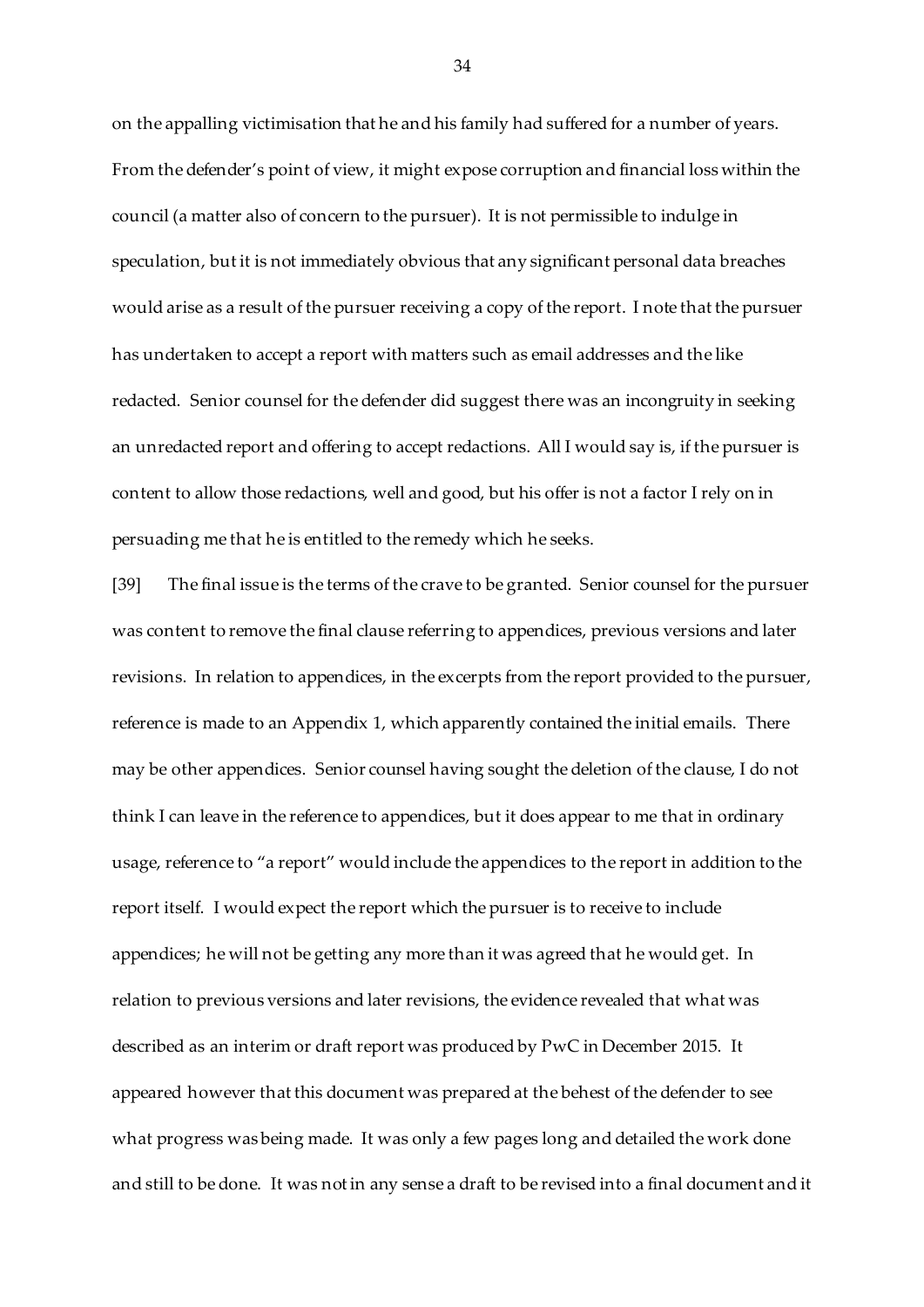on the appalling victimisation that he and his family had suffered for a number of years. From the defender's point of view, it might expose corruption and financial loss within the council (a matter also of concern to the pursuer). It is not permissible to indulge in speculation, but it is not immediately obvious that any significant personal data breaches would arise as a result of the pursuer receiving a copy of the report. I note that the pursuer has undertaken to accept a report with matters such as email addresses and the like redacted. Senior counsel for the defender did suggest there was an incongruity in seeking an unredacted report and offering to accept redactions. All I would say is, if the pursuer is content to allow those redactions, well and good, but his offer is not a factor I rely on in persuading me that he is entitled to the remedy which he seeks.

[39] The final issue is the terms of the crave to be granted. Senior counsel for the pursuer was content to remove the final clause referring to appendices, previous versions and later revisions. In relation to appendices, in the excerpts from the report provided to the pursuer, reference is made to an Appendix 1, which apparently contained the initial emails. There may be other appendices. Senior counsel having sought the deletion of the clause, I do not think I can leave in the reference to appendices, but it does appear to me that in ordinary usage, reference to "a report" would include the appendices to the report in addition to the report itself. I would expect the report which the pursuer is to receive to include appendices; he will not be getting any more than it was agreed that he would get. In relation to previous versions and later revisions, the evidence revealed that what was described as an interim or draft report was produced by PwC in December 2015. It appeared however that this document was prepared at the behest of the defender to see what progress was being made. It was only a few pages long and detailed the work done and still to be done. It was not in any sense a draft to be revised into a final document and it